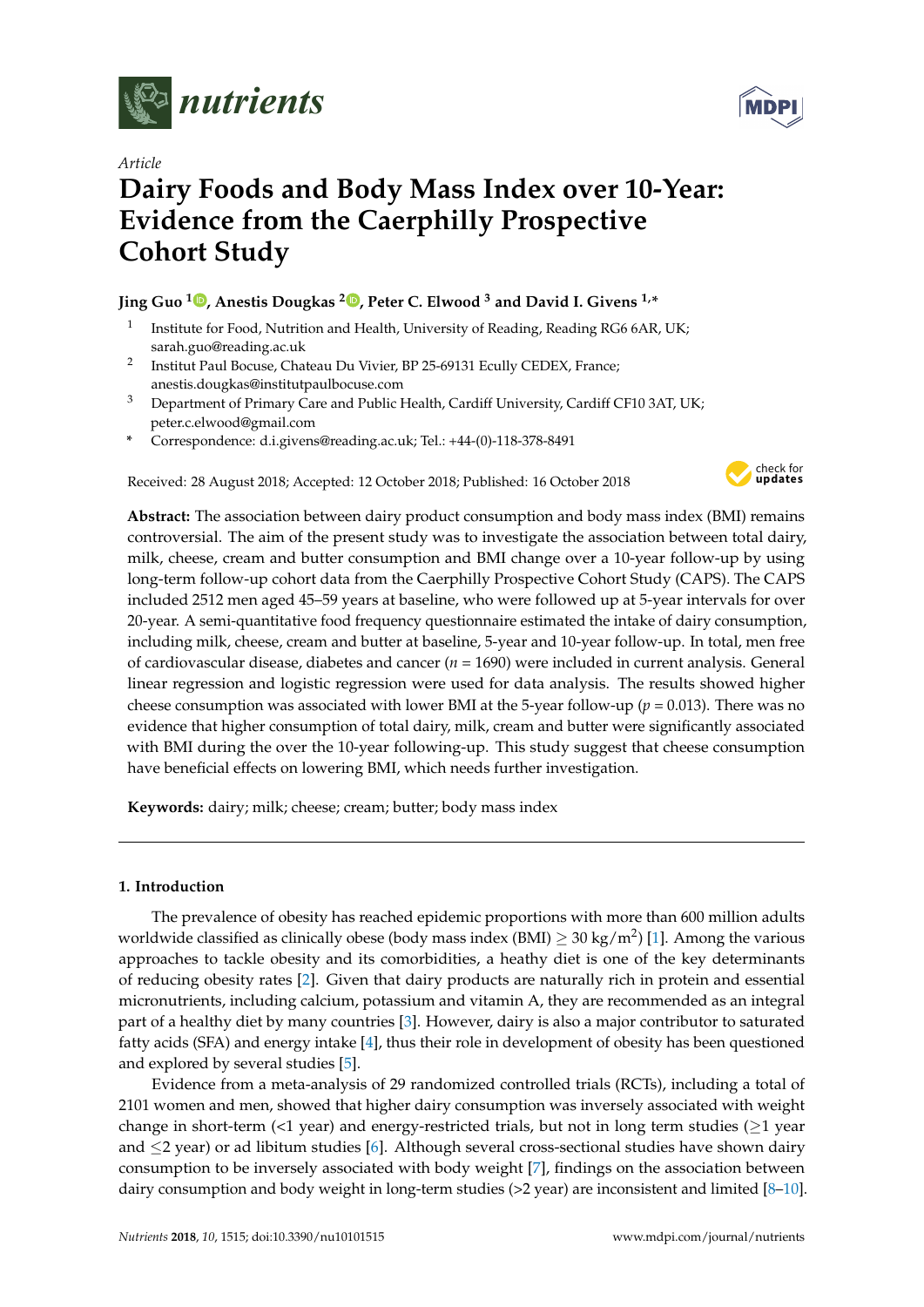

*Article*

# **Dairy Foods and Body Mass Index over 10-Year: Evidence from the Caerphilly Prospective Cohort Study**

## **Jing Guo [1](https://orcid.org/0000-0002-4818-1520) , Anestis Dougkas <sup>2</sup> [,](https://orcid.org/0000-0002-1954-1531) Peter C. Elwood <sup>3</sup> and David I. Givens 1,\***

- 1 Institute for Food, Nutrition and Health, University of Reading, Reading RG6 6AR, UK; sarah.guo@reading.ac.uk
- 2 Institut Paul Bocuse, Chateau Du Vivier, BP 25-69131 Ecully CEDEX, France; anestis.dougkas@institutpaulbocuse.com
- <sup>3</sup> Department of Primary Care and Public Health, Cardiff University, Cardiff CF10 3AT, UK; peter.c.elwood@gmail.com
- **\*** Correspondence: d.i.givens@reading.ac.uk; Tel.: +44-(0)-118-378-8491

Received: 28 August 2018; Accepted: 12 October 2018; Published: 16 October 2018



**Abstract:** The association between dairy product consumption and body mass index (BMI) remains controversial. The aim of the present study was to investigate the association between total dairy, milk, cheese, cream and butter consumption and BMI change over a 10-year follow-up by using long-term follow-up cohort data from the Caerphilly Prospective Cohort Study (CAPS). The CAPS included 2512 men aged 45–59 years at baseline, who were followed up at 5-year intervals for over 20-year. A semi-quantitative food frequency questionnaire estimated the intake of dairy consumption, including milk, cheese, cream and butter at baseline, 5-year and 10-year follow-up. In total, men free of cardiovascular disease, diabetes and cancer (*n* = 1690) were included in current analysis. General linear regression and logistic regression were used for data analysis. The results showed higher cheese consumption was associated with lower BMI at the 5-year follow-up ( $p = 0.013$ ). There was no evidence that higher consumption of total dairy, milk, cream and butter were significantly associated with BMI during the over the 10-year following-up. This study suggest that cheese consumption have beneficial effects on lowering BMI, which needs further investigation.

**Keywords:** dairy; milk; cheese; cream; butter; body mass index

## **1. Introduction**

The prevalence of obesity has reached epidemic proportions with more than 600 million adults worldwide classified as clinically obese (body mass index (BMI)  $\geq 30$  kg/m<sup>2</sup>) [\[1\]](#page-10-0). Among the various approaches to tackle obesity and its comorbidities, a heathy diet is one of the key determinants of reducing obesity rates [\[2\]](#page-11-0). Given that dairy products are naturally rich in protein and essential micronutrients, including calcium, potassium and vitamin A, they are recommended as an integral part of a healthy diet by many countries [\[3\]](#page-11-1). However, dairy is also a major contributor to saturated fatty acids (SFA) and energy intake [\[4\]](#page-11-2), thus their role in development of obesity has been questioned and explored by several studies [\[5\]](#page-11-3).

Evidence from a meta-analysis of 29 randomized controlled trials (RCTs), including a total of 2101 women and men, showed that higher dairy consumption was inversely associated with weight change in short-term (<1 year) and energy-restricted trials, but not in long term studies ( $\geq$ 1 year) and ≤2 year) or ad libitum studies [\[6\]](#page-11-4). Although several cross-sectional studies have shown dairy consumption to be inversely associated with body weight [\[7\]](#page-11-5), findings on the association between dairy consumption and body weight in long-term studies (>2 year) are inconsistent and limited [\[8–](#page-11-6)[10\]](#page-11-7).

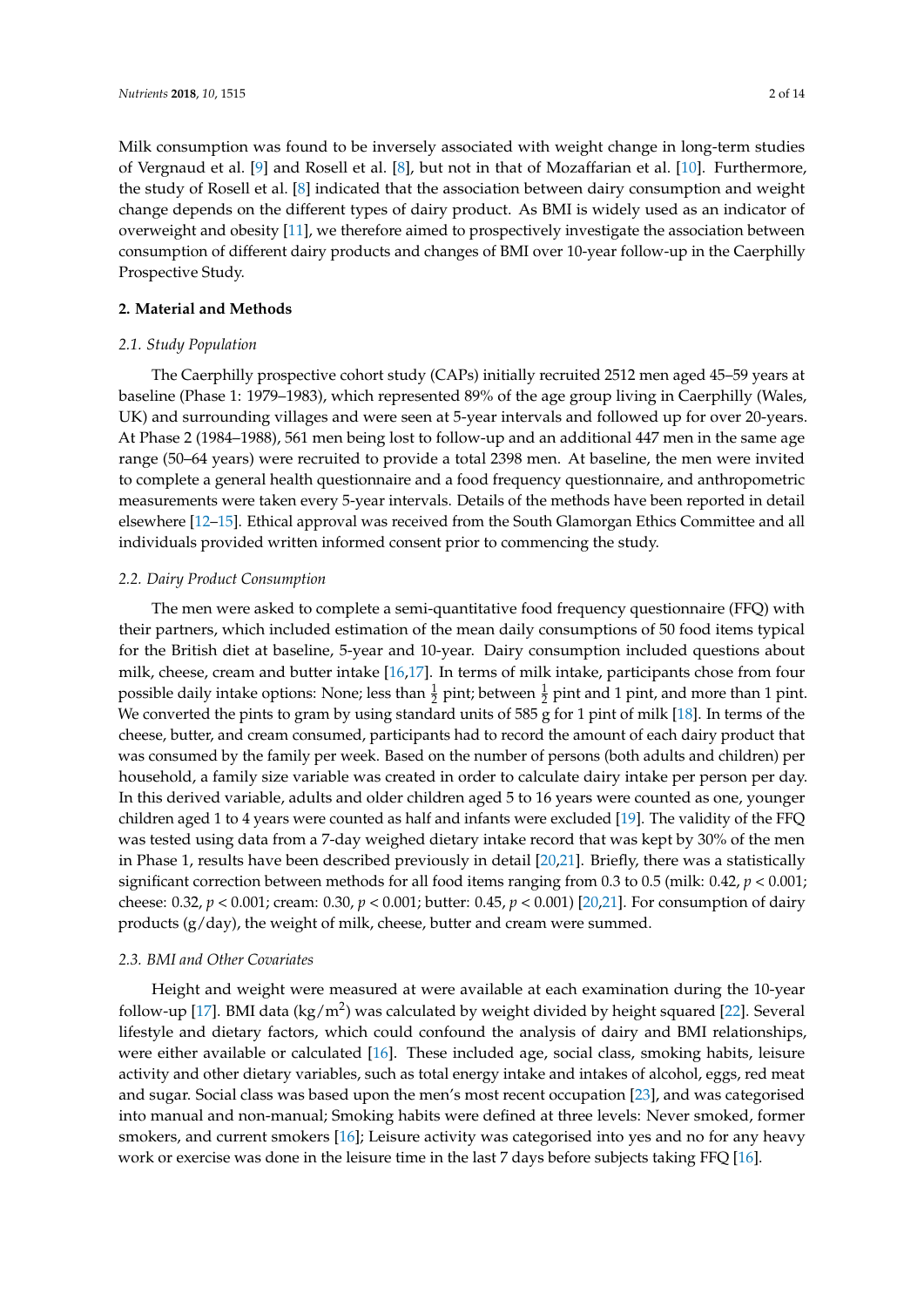Milk consumption was found to be inversely associated with weight change in long-term studies of Vergnaud et al. [\[9\]](#page-11-8) and Rosell et al. [\[8\]](#page-11-6), but not in that of Mozaffarian et al. [\[10\]](#page-11-7). Furthermore, the study of Rosell et al. [\[8\]](#page-11-6) indicated that the association between dairy consumption and weight change depends on the different types of dairy product. As BMI is widely used as an indicator of overweight and obesity [\[11\]](#page-11-9), we therefore aimed to prospectively investigate the association between consumption of different dairy products and changes of BMI over 10-year follow-up in the Caerphilly Prospective Study.

## **2. Material and Methods**

## *2.1. Study Population*

The Caerphilly prospective cohort study (CAPs) initially recruited 2512 men aged 45–59 years at baseline (Phase 1: 1979–1983), which represented 89% of the age group living in Caerphilly (Wales, UK) and surrounding villages and were seen at 5-year intervals and followed up for over 20-years. At Phase 2 (1984–1988), 561 men being lost to follow-up and an additional 447 men in the same age range (50–64 years) were recruited to provide a total 2398 men. At baseline, the men were invited to complete a general health questionnaire and a food frequency questionnaire, and anthropometric measurements were taken every 5-year intervals. Details of the methods have been reported in detail elsewhere [\[12](#page-11-10)[–15\]](#page-11-11). Ethical approval was received from the South Glamorgan Ethics Committee and all individuals provided written informed consent prior to commencing the study.

## *2.2. Dairy Product Consumption*

The men were asked to complete a semi-quantitative food frequency questionnaire (FFQ) with their partners, which included estimation of the mean daily consumptions of 50 food items typical for the British diet at baseline, 5-year and 10-year. Dairy consumption included questions about milk, cheese, cream and butter intake [\[16](#page-11-12)[,17\]](#page-11-13). In terms of milk intake, participants chose from four possible daily intake options: None; less than  $\frac{1}{2}$  pint; between  $\frac{1}{2}$  pint and 1 pint, and more than 1 pint. We converted the pints to gram by using standard units of 585 g for 1 pint of milk [\[18\]](#page-11-14). In terms of the cheese, butter, and cream consumed, participants had to record the amount of each dairy product that was consumed by the family per week. Based on the number of persons (both adults and children) per household, a family size variable was created in order to calculate dairy intake per person per day. In this derived variable, adults and older children aged 5 to 16 years were counted as one, younger children aged 1 to 4 years were counted as half and infants were excluded [\[19\]](#page-11-15). The validity of the FFQ was tested using data from a 7-day weighed dietary intake record that was kept by 30% of the men in Phase 1, results have been described previously in detail [\[20](#page-11-16)[,21\]](#page-11-17). Briefly, there was a statistically significant correction between methods for all food items ranging from 0.3 to 0.5 (milk: 0.42, *p* < 0.001; cheese: 0.32, *p* < 0.001; cream: 0.30, *p* < 0.001; butter: 0.45, *p* < 0.001) [\[20,](#page-11-16)[21\]](#page-11-17). For consumption of dairy products (g/day), the weight of milk, cheese, butter and cream were summed.

## *2.3. BMI and Other Covariates*

Height and weight were measured at were available at each examination during the 10-year follow-up [\[17\]](#page-11-13). BMI data (kg/m<sup>2</sup>) was calculated by weight divided by height squared [\[22\]](#page-11-18). Several lifestyle and dietary factors, which could confound the analysis of dairy and BMI relationships, were either available or calculated [\[16\]](#page-11-12). These included age, social class, smoking habits, leisure activity and other dietary variables, such as total energy intake and intakes of alcohol, eggs, red meat and sugar. Social class was based upon the men's most recent occupation [\[23\]](#page-11-19), and was categorised into manual and non-manual; Smoking habits were defined at three levels: Never smoked, former smokers, and current smokers [\[16\]](#page-11-12); Leisure activity was categorised into yes and no for any heavy work or exercise was done in the leisure time in the last 7 days before subjects taking FFQ [\[16\]](#page-11-12).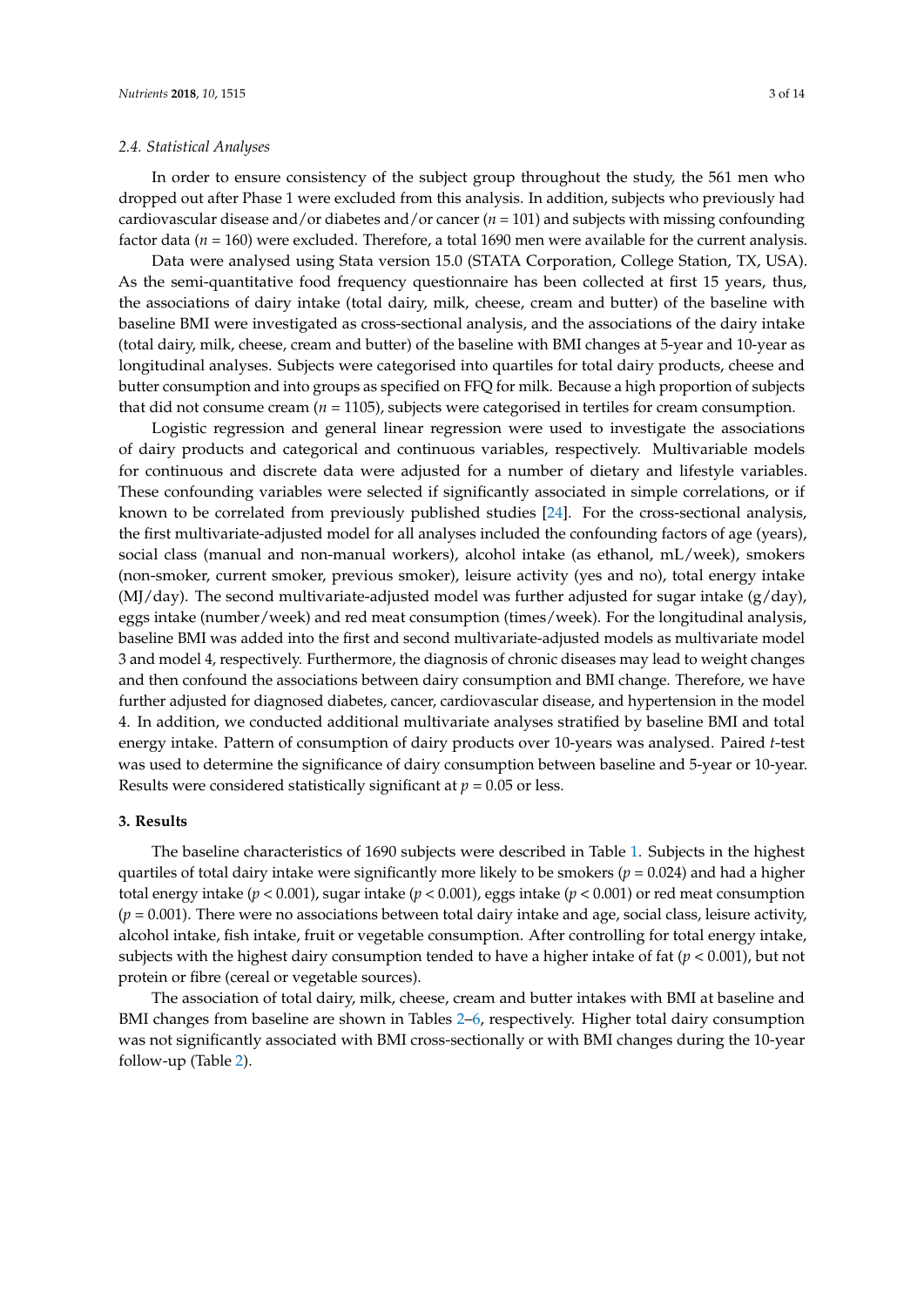#### *2.4. Statistical Analyses*

In order to ensure consistency of the subject group throughout the study, the 561 men who dropped out after Phase 1 were excluded from this analysis. In addition, subjects who previously had cardiovascular disease and/or diabetes and/or cancer (*n* = 101) and subjects with missing confounding factor data (*n* = 160) were excluded. Therefore, a total 1690 men were available for the current analysis.

Data were analysed using Stata version 15.0 (STATA Corporation, College Station, TX, USA). As the semi-quantitative food frequency questionnaire has been collected at first 15 years, thus, the associations of dairy intake (total dairy, milk, cheese, cream and butter) of the baseline with baseline BMI were investigated as cross-sectional analysis, and the associations of the dairy intake (total dairy, milk, cheese, cream and butter) of the baseline with BMI changes at 5-year and 10-year as longitudinal analyses. Subjects were categorised into quartiles for total dairy products, cheese and butter consumption and into groups as specified on FFQ for milk. Because a high proportion of subjects that did not consume cream (*n* = 1105), subjects were categorised in tertiles for cream consumption.

Logistic regression and general linear regression were used to investigate the associations of dairy products and categorical and continuous variables, respectively. Multivariable models for continuous and discrete data were adjusted for a number of dietary and lifestyle variables. These confounding variables were selected if significantly associated in simple correlations, or if known to be correlated from previously published studies [\[24\]](#page-12-0). For the cross-sectional analysis, the first multivariate-adjusted model for all analyses included the confounding factors of age (years), social class (manual and non-manual workers), alcohol intake (as ethanol, mL/week), smokers (non-smoker, current smoker, previous smoker), leisure activity (yes and no), total energy intake  $(MJ/day)$ . The second multivariate-adjusted model was further adjusted for sugar intake ( $g/day$ ), eggs intake (number/week) and red meat consumption (times/week). For the longitudinal analysis, baseline BMI was added into the first and second multivariate-adjusted models as multivariate model 3 and model 4, respectively. Furthermore, the diagnosis of chronic diseases may lead to weight changes and then confound the associations between dairy consumption and BMI change. Therefore, we have further adjusted for diagnosed diabetes, cancer, cardiovascular disease, and hypertension in the model 4. In addition, we conducted additional multivariate analyses stratified by baseline BMI and total energy intake. Pattern of consumption of dairy products over 10-years was analysed. Paired *t*-test was used to determine the significance of dairy consumption between baseline and 5-year or 10-year. Results were considered statistically significant at  $p = 0.05$  or less.

## **3. Results**

The baseline characteristics of 1690 subjects were described in Table [1.](#page-3-0) Subjects in the highest quartiles of total dairy intake were significantly more likely to be smokers (*p* = 0.024) and had a higher total energy intake (*p* < 0.001), sugar intake (*p* < 0.001), eggs intake (*p* < 0.001) or red meat consumption  $(p = 0.001)$ . There were no associations between total dairy intake and age, social class, leisure activity, alcohol intake, fish intake, fruit or vegetable consumption. After controlling for total energy intake, subjects with the highest dairy consumption tended to have a higher intake of fat (*p* < 0.001), but not protein or fibre (cereal or vegetable sources).

The association of total dairy, milk, cheese, cream and butter intakes with BMI at baseline and BMI changes from baseline are shown in Tables [2](#page-4-0)[–6,](#page-8-0) respectively. Higher total dairy consumption was not significantly associated with BMI cross-sectionally or with BMI changes during the 10-year follow-up (Table [2\)](#page-4-0).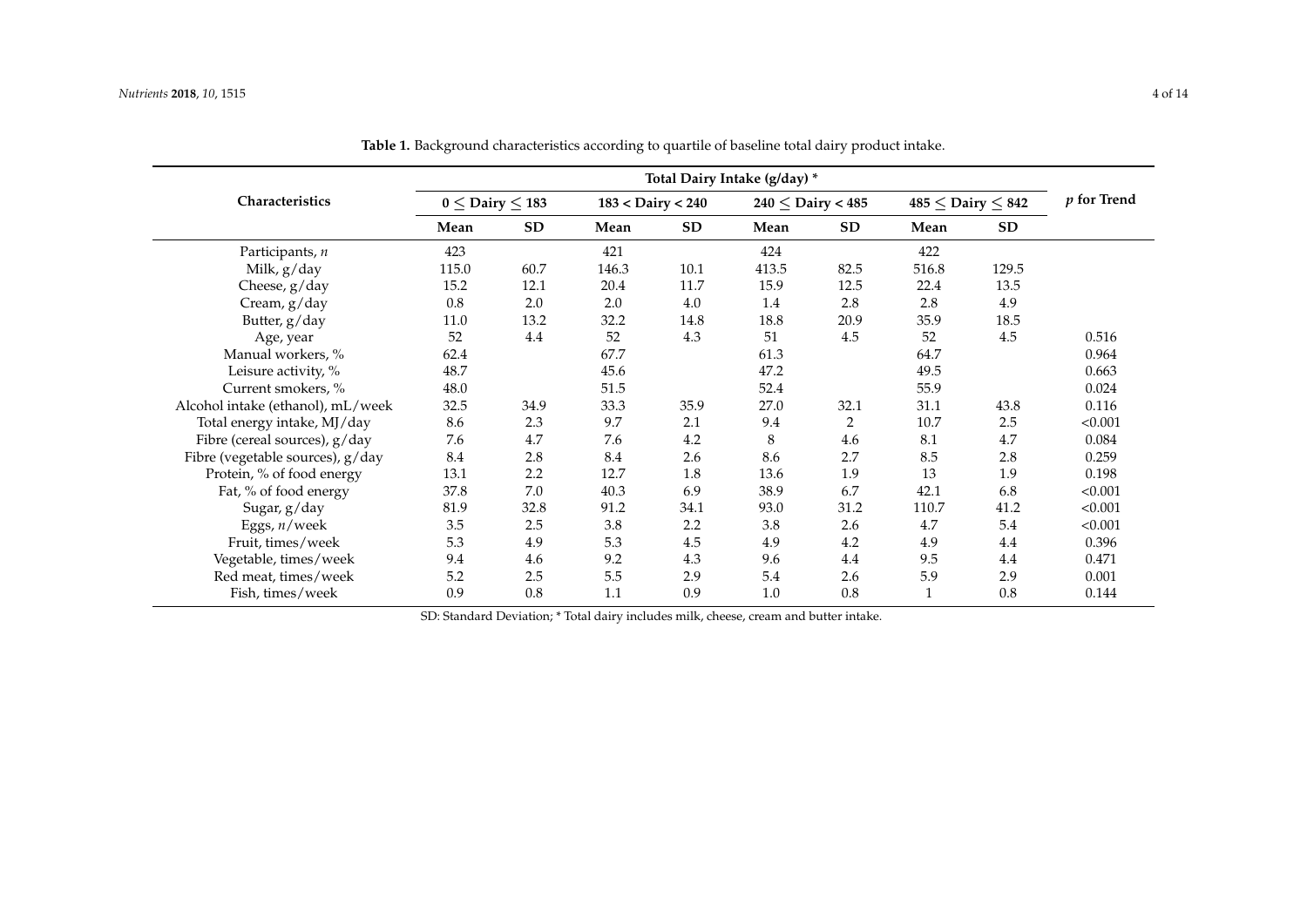|                                   | Total Dairy Intake (g/day) * |           |                   |           |                       |           |       |                            |               |
|-----------------------------------|------------------------------|-----------|-------------------|-----------|-----------------------|-----------|-------|----------------------------|---------------|
| Characteristics                   | $0 \le$ Dairy $\le$ 183      |           | 183 < Dairy < 240 |           | $240 \le$ Dairy < 485 |           |       | $485 \le$ Dairy $\leq 842$ | $p$ for Trend |
|                                   | Mean                         | <b>SD</b> | Mean              | <b>SD</b> | Mean                  | <b>SD</b> | Mean  | <b>SD</b>                  |               |
| Participants, n                   | 423                          |           | 421               |           | 424                   |           | 422   |                            |               |
| Milk, g/day                       | 115.0                        | 60.7      | 146.3             | 10.1      | 413.5                 | 82.5      | 516.8 | 129.5                      |               |
| Cheese, g/day                     | 15.2                         | 12.1      | 20.4              | 11.7      | 15.9                  | 12.5      | 22.4  | 13.5                       |               |
| Cream, g/day                      | 0.8                          | 2.0       | 2.0               | 4.0       | 1.4                   | 2.8       | 2.8   | 4.9                        |               |
| Butter, g/day                     | 11.0                         | 13.2      | 32.2              | 14.8      | 18.8                  | 20.9      | 35.9  | 18.5                       |               |
| Age, year                         | 52                           | 4.4       | 52                | 4.3       | 51                    | 4.5       | 52    | 4.5                        | 0.516         |
| Manual workers, %                 | 62.4                         |           | 67.7              |           | 61.3                  |           | 64.7  |                            | 0.964         |
| Leisure activity, %               | 48.7                         |           | 45.6              |           | 47.2                  |           | 49.5  |                            | 0.663         |
| Current smokers, %                | 48.0                         |           | 51.5              |           | 52.4                  |           | 55.9  |                            | 0.024         |
| Alcohol intake (ethanol), mL/week | 32.5                         | 34.9      | 33.3              | 35.9      | 27.0                  | 32.1      | 31.1  | 43.8                       | 0.116         |
| Total energy intake, MJ/day       | 8.6                          | 2.3       | 9.7               | 2.1       | 9.4                   | 2         | 10.7  | 2.5                        | < 0.001       |
| Fibre (cereal sources), g/day     | 7.6                          | 4.7       | 7.6               | 4.2       | 8                     | 4.6       | 8.1   | 4.7                        | 0.084         |
| Fibre (vegetable sources), g/day  | 8.4                          | 2.8       | 8.4               | 2.6       | 8.6                   | 2.7       | 8.5   | 2.8                        | 0.259         |
| Protein, % of food energy         | 13.1                         | 2.2       | 12.7              | 1.8       | 13.6                  | 1.9       | 13    | 1.9                        | 0.198         |
| Fat, % of food energy             | 37.8                         | 7.0       | 40.3              | 6.9       | 38.9                  | 6.7       | 42.1  | 6.8                        | < 0.001       |
| Sugar, g/day                      | 81.9                         | 32.8      | 91.2              | 34.1      | 93.0                  | 31.2      | 110.7 | 41.2                       | < 0.001       |
| Eggs, $n$ /week                   | 3.5                          | 2.5       | 3.8               | 2.2       | 3.8                   | 2.6       | 4.7   | 5.4                        | < 0.001       |
| Fruit, times/week                 | 5.3                          | 4.9       | 5.3               | 4.5       | 4.9                   | 4.2       | 4.9   | 4.4                        | 0.396         |
| Vegetable, times/week             | 9.4                          | 4.6       | 9.2               | 4.3       | 9.6                   | 4.4       | 9.5   | 4.4                        | 0.471         |
| Red meat, times/week              | 5.2                          | 2.5       | 5.5               | 2.9       | 5.4                   | 2.6       | 5.9   | 2.9                        | 0.001         |
| Fish, times/week                  | 0.9                          | 0.8       | 1.1               | 0.9       | 1.0                   | 0.8       |       | 0.8                        | 0.144         |

**Table 1.** Background characteristics according to quartile of baseline total dairy product intake.

<span id="page-3-0"></span>SD: Standard Deviation; \* Total dairy includes milk, cheese, cream and butter intake.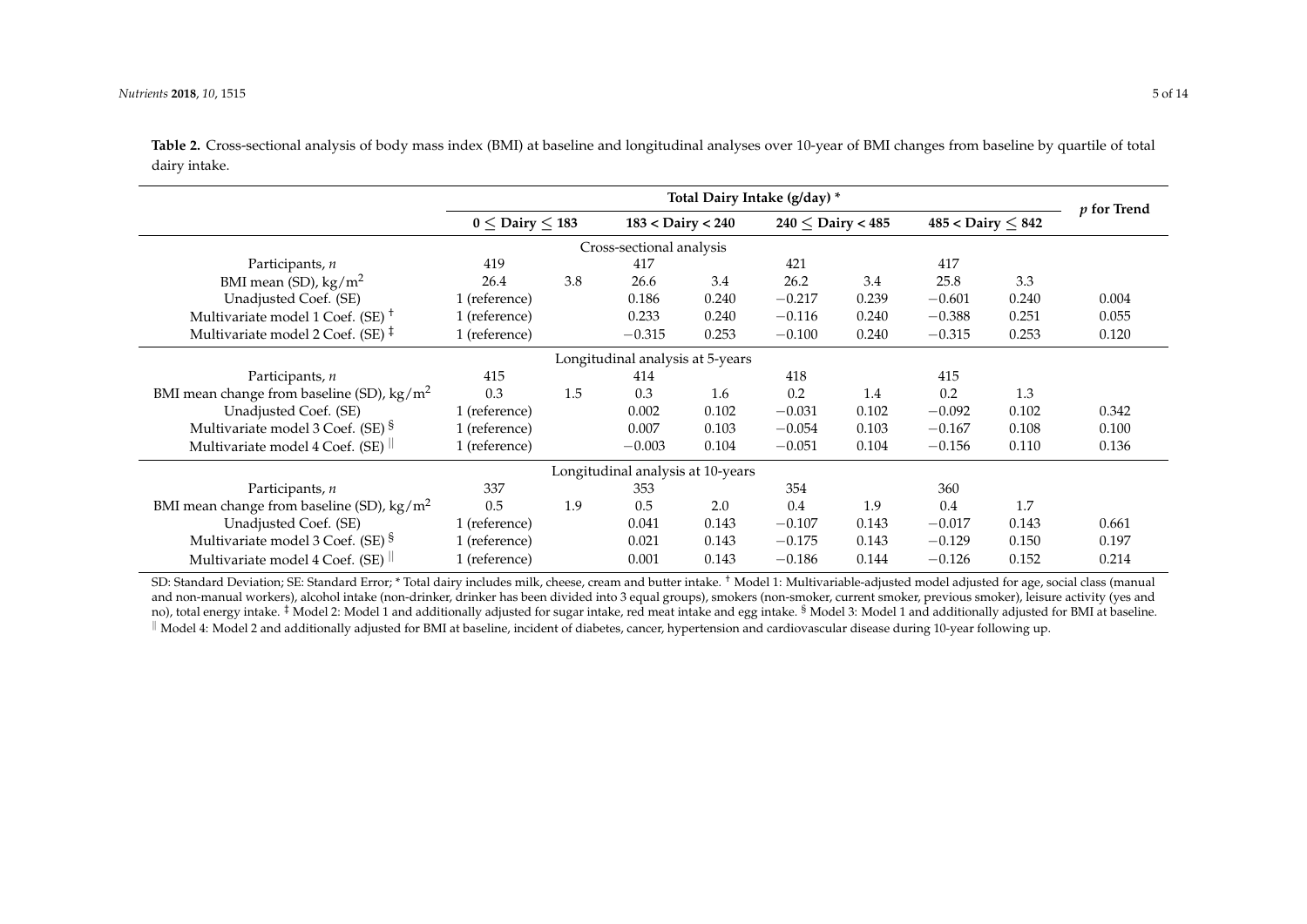**Table 2.** Cross-sectional analysis of body mass index (BMI) at baseline and longitudinal analyses over 10-year of BMI changes from baseline by quartile of total dairy intake.

|                                                     | Total Dairy Intake (g/day) * |     |                                   |       |                       |       |                          |       | $p$ for Trend |
|-----------------------------------------------------|------------------------------|-----|-----------------------------------|-------|-----------------------|-------|--------------------------|-------|---------------|
|                                                     | $0 \le$ Dairy $\le$ 183      |     | $183 <$ Dairy $< 240$             |       | $240 <$ Dairy $< 485$ |       | $485 <$ Dairy $\leq 842$ |       |               |
|                                                     |                              |     | Cross-sectional analysis          |       |                       |       |                          |       |               |
| Participants, n                                     | 419                          |     | 417                               |       | 421                   |       | 417                      |       |               |
| BMI mean (SD), $\text{kg/m}^2$                      | 26.4                         | 3.8 | 26.6                              | 3.4   | 26.2                  | 3.4   | 25.8                     | 3.3   |               |
| Unadjusted Coef. (SE)                               | 1 (reference)                |     | 0.186                             | 0.240 | $-0.217$              | 0.239 | $-0.601$                 | 0.240 | 0.004         |
| Multivariate model 1 Coef. (SE) <sup>+</sup>        | 1 (reference)                |     | 0.233                             | 0.240 | $-0.116$              | 0.240 | $-0.388$                 | 0.251 | 0.055         |
| Multivariate model 2 Coef. (SE) $\ddagger$          | 1 (reference)                |     | $-0.315$                          | 0.253 | $-0.100$              | 0.240 | $-0.315$                 | 0.253 | 0.120         |
| Longitudinal analysis at 5-years                    |                              |     |                                   |       |                       |       |                          |       |               |
| Participants, n                                     | 415                          |     | 414                               |       | 418                   |       | 415                      |       |               |
| BMI mean change from baseline (SD), $\text{kg/m}^2$ | 0.3                          | 1.5 | 0.3                               | 1.6   | 0.2                   | 1.4   | 0.2                      | 1.3   |               |
| Unadjusted Coef. (SE)                               | 1 (reference)                |     | 0.002                             | 0.102 | $-0.031$              | 0.102 | $-0.092$                 | 0.102 | 0.342         |
| Multivariate model 3 Coef. (SE) <sup>§</sup>        | 1 (reference)                |     | 0.007                             | 0.103 | $-0.054$              | 0.103 | $-0.167$                 | 0.108 | 0.100         |
| Multivariate model 4 Coef. (SE)                     | 1 (reference)                |     | $-0.003$                          | 0.104 | $-0.051$              | 0.104 | $-0.156$                 | 0.110 | 0.136         |
|                                                     |                              |     | Longitudinal analysis at 10-years |       |                       |       |                          |       |               |
| Participants, n                                     | 337                          |     | 353                               |       | 354                   |       | 360                      |       |               |
| BMI mean change from baseline (SD), $\text{kg/m}^2$ | 0.5                          | 1.9 | 0.5                               | 2.0   | 0.4                   | 1.9   | 0.4                      | 1.7   |               |
| Unadjusted Coef. (SE)                               | 1 (reference)                |     | 0.041                             | 0.143 | $-0.107$              | 0.143 | $-0.017$                 | 0.143 | 0.661         |
| Multivariate model 3 Coef. (SE) §                   | 1 (reference)                |     | 0.021                             | 0.143 | $-0.175$              | 0.143 | $-0.129$                 | 0.150 | 0.197         |
| Multivariate model 4 Coef. (SE)                     | 1 (reference)                |     | 0.001                             | 0.143 | $-0.186$              | 0.144 | $-0.126$                 | 0.152 | 0.214         |

<span id="page-4-0"></span>SD: Standard Deviation; SE: Standard Error; \* Total dairy includes milk, cheese, cream and butter intake. <sup>†</sup> Model 1: Multivariable-adjusted model adjusted for age, social class (manual and non-manual workers), alcohol intake (non-drinker, drinker has been divided into 3 equal groups), smokers (non-smoker, current smoker, previous smoker), leisure activity (yes and no), total energy intake. <sup>‡</sup> Model 2: Model 1 and additionally adjusted for sugar intake, red meat intake and egg intake. <sup>§</sup> Model 3: Model 1 and additionally adjusted for BMI at baseline. K Model 4: Model 2 and additionally adjusted for BMI at baseline, incident of diabetes, cancer, hypertension and cardiovascular disease during 10-year following up.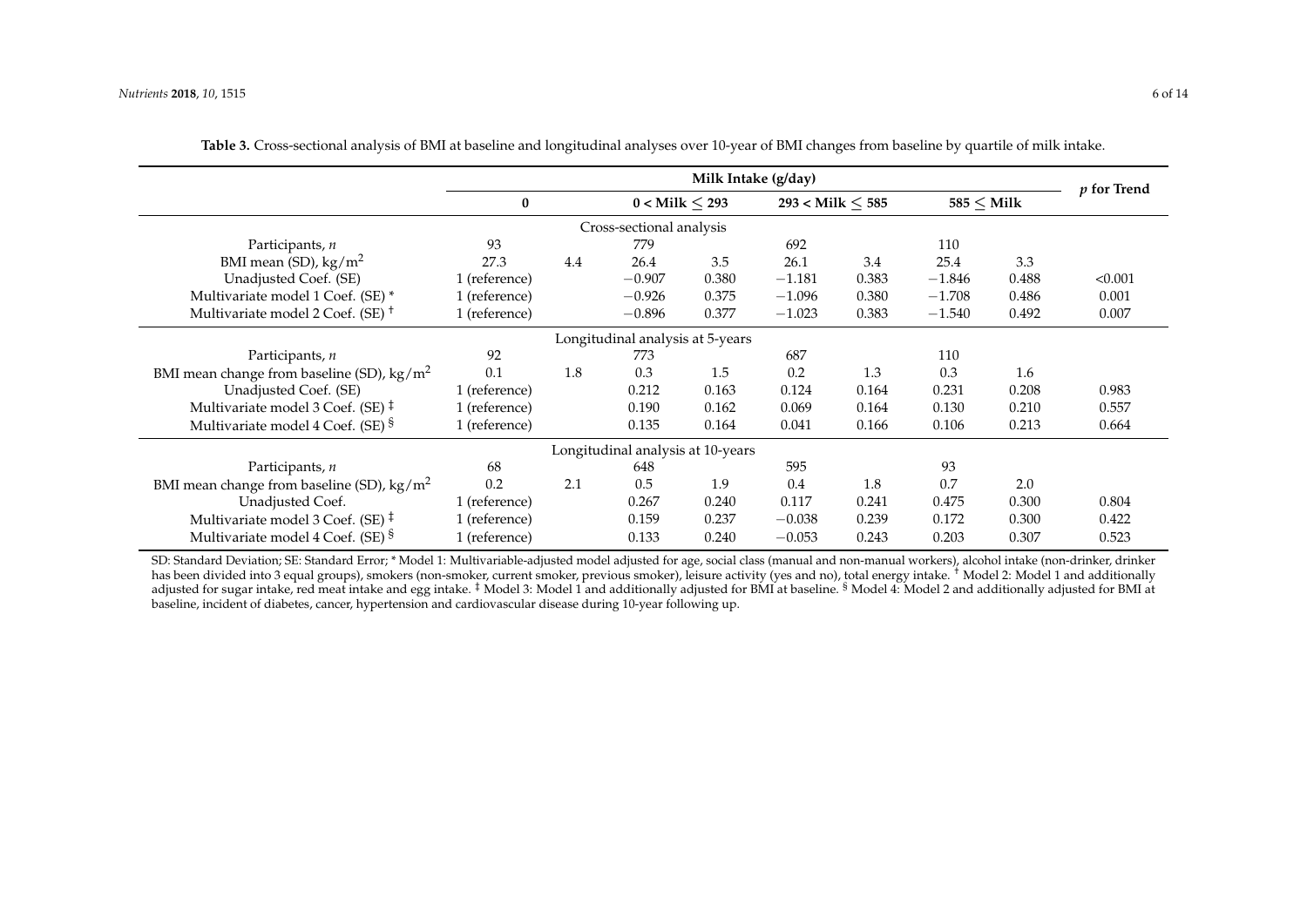|                                                     | Milk Intake (g/day) |     |                                   |       |                      |       |              | $p$ for Trend |         |
|-----------------------------------------------------|---------------------|-----|-----------------------------------|-------|----------------------|-------|--------------|---------------|---------|
|                                                     | $\bf{0}$            |     | $0 <$ Milk $<$ 293                |       | $293 <$ Milk $< 585$ |       | $585 <$ Milk |               |         |
|                                                     |                     |     | Cross-sectional analysis          |       |                      |       |              |               |         |
| Participants, n                                     | 93                  |     | 779                               |       | 692                  |       | 110          |               |         |
| BMI mean (SD), $\text{kg/m}^2$                      | 27.3                | 4.4 | 26.4                              | 3.5   | 26.1                 | 3.4   | 25.4         | 3.3           |         |
| Unadjusted Coef. (SE)                               | 1 (reference)       |     | $-0.907$                          | 0.380 | $-1.181$             | 0.383 | $-1.846$     | 0.488         | < 0.001 |
| Multivariate model 1 Coef. (SE) *                   | 1 (reference)       |     | $-0.926$                          | 0.375 | $-1.096$             | 0.380 | $-1.708$     | 0.486         | 0.001   |
| Multivariate model 2 Coef. (SE) <sup>+</sup>        | 1 (reference)       |     | $-0.896$                          | 0.377 | $-1.023$             | 0.383 | $-1.540$     | 0.492         | 0.007   |
| Longitudinal analysis at 5-years                    |                     |     |                                   |       |                      |       |              |               |         |
| Participants, n                                     | 92                  |     | 773                               |       | 687                  |       | 110          |               |         |
| BMI mean change from baseline (SD), $\text{kg/m}^2$ | 0.1                 | 1.8 | 0.3                               | 1.5   | 0.2                  | 1.3   | 0.3          | 1.6           |         |
| Unadjusted Coef. (SE)                               | 1 (reference)       |     | 0.212                             | 0.163 | 0.124                | 0.164 | 0.231        | 0.208         | 0.983   |
| Multivariate model 3 Coef. (SE) $\ddagger$          | 1 (reference)       |     | 0.190                             | 0.162 | 0.069                | 0.164 | 0.130        | 0.210         | 0.557   |
| Multivariate model 4 Coef. (SE) §                   | 1 (reference)       |     | 0.135                             | 0.164 | 0.041                | 0.166 | 0.106        | 0.213         | 0.664   |
|                                                     |                     |     | Longitudinal analysis at 10-years |       |                      |       |              |               |         |
| Participants, n                                     | 68                  |     | 648                               |       | 595                  |       | 93           |               |         |
| BMI mean change from baseline (SD), $\text{kg/m}^2$ | 0.2                 | 2.1 | 0.5                               | 1.9   | 0.4                  | 1.8   | 0.7          | 2.0           |         |
| Unadjusted Coef.                                    | 1 (reference)       |     | 0.267                             | 0.240 | 0.117                | 0.241 | 0.475        | 0.300         | 0.804   |
| Multivariate model 3 Coef. (SE) $\ddagger$          | 1 (reference)       |     | 0.159                             | 0.237 | $-0.038$             | 0.239 | 0.172        | 0.300         | 0.422   |
| Multivariate model 4 Coef. (SE) <sup>§</sup>        | 1 (reference)       |     | 0.133                             | 0.240 | $-0.053$             | 0.243 | 0.203        | 0.307         | 0.523   |

| Table 3. Cross-sectional analysis of BMI at baseline and longitudinal analyses over 10-year of BMI changes from baseline by quartile of milk intake. |  |  |  |
|------------------------------------------------------------------------------------------------------------------------------------------------------|--|--|--|
|------------------------------------------------------------------------------------------------------------------------------------------------------|--|--|--|

<span id="page-5-0"></span>SD: Standard Deviation; SE: Standard Error; \* Model 1: Multivariable-adjusted model adjusted for age, social class (manual and non-manual workers), alcohol intake (non-drinker, drinker has been divided into 3 equal groups), smokers (non-smoker, current smoker, previous smoker), leisure activity (yes and no), total energy intake. <sup>4</sup> Model 2: Model 1 and additionally adjusted for sugar intake, red meat intake and egg intake. <sup>‡</sup> Model 3: Model 1 and additionally adjusted for BMI at baseline. <sup>§</sup> Model 4: Model 2 and additionally adjusted for BMI at baseline, incident of diabetes, cancer, hypertension and cardiovascular disease during 10-year following up.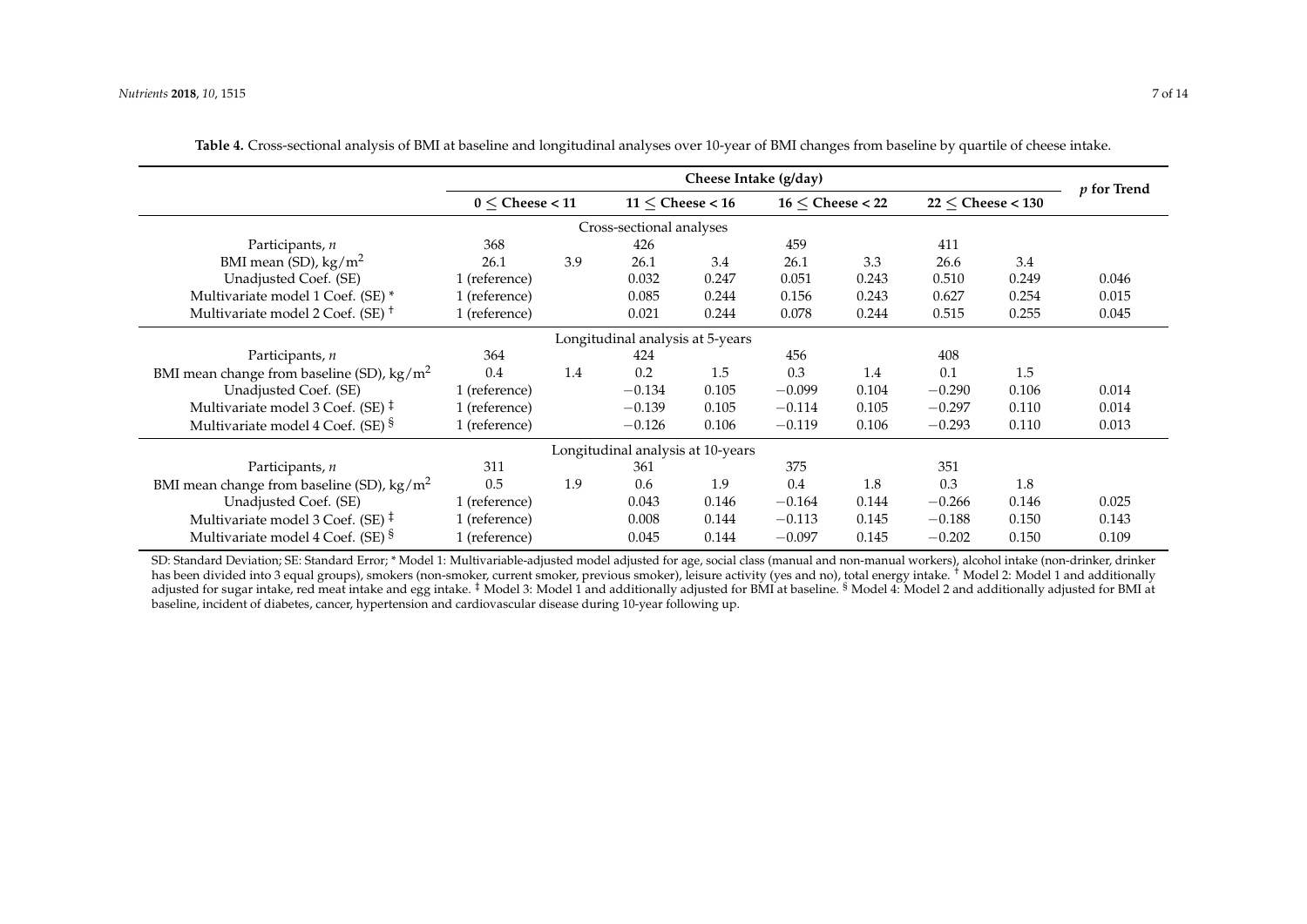|                                                           | Cheese Intake (g/day) |     |                                   |       |                      |       | $p$ for Trend           |       |       |
|-----------------------------------------------------------|-----------------------|-----|-----------------------------------|-------|----------------------|-------|-------------------------|-------|-------|
|                                                           | $0 <$ Cheese $<$ 11   |     | $11 \leq$ Cheese < 16             |       | $16 <$ Cheese $<$ 22 |       | $22 <$ Cheese $< 130\,$ |       |       |
|                                                           |                       |     | Cross-sectional analyses          |       |                      |       |                         |       |       |
| Participants, n                                           | 368                   |     | 426                               |       | 459                  |       | 411                     |       |       |
| BMI mean (SD), $\text{kg/m}^2$                            | 26.1                  | 3.9 | 26.1                              | 3.4   | 26.1                 | 3.3   | 26.6                    | 3.4   |       |
| Unadjusted Coef. (SE)                                     | 1 (reference)         |     | 0.032                             | 0.247 | 0.051                | 0.243 | 0.510                   | 0.249 | 0.046 |
| Multivariate model 1 Coef. (SE) *                         | 1 (reference)         |     | 0.085                             | 0.244 | 0.156                | 0.243 | 0.627                   | 0.254 | 0.015 |
| Multivariate model 2 Coef. (SE) <sup><math>+</math></sup> | 1 (reference)         |     | 0.021                             | 0.244 | 0.078                | 0.244 | 0.515                   | 0.255 | 0.045 |
| Longitudinal analysis at 5-years                          |                       |     |                                   |       |                      |       |                         |       |       |
| Participants, n                                           | 364                   |     | 424                               |       | 456                  |       | 408                     |       |       |
| BMI mean change from baseline (SD), $\text{kg/m}^2$       | 0.4                   | 1.4 | 0.2                               | 1.5   | 0.3                  | 1.4   | 0.1                     | 1.5   |       |
| Unadjusted Coef. (SE)                                     | 1 (reference)         |     | $-0.134$                          | 0.105 | $-0.099$             | 0.104 | $-0.290$                | 0.106 | 0.014 |
| Multivariate model 3 Coef. (SE) $\ddagger$                | 1 (reference)         |     | $-0.139$                          | 0.105 | $-0.114$             | 0.105 | $-0.297$                | 0.110 | 0.014 |
| Multivariate model 4 Coef. (SE) §                         | 1 (reference)         |     | $-0.126$                          | 0.106 | $-0.119$             | 0.106 | $-0.293$                | 0.110 | 0.013 |
|                                                           |                       |     | Longitudinal analysis at 10-years |       |                      |       |                         |       |       |
| Participants, n                                           | 311                   |     | 361                               |       | 375                  |       | 351                     |       |       |
| BMI mean change from baseline (SD), $\text{kg/m}^2$       | 0.5                   | 1.9 | 0.6                               | 1.9   | 0.4                  | 1.8   | 0.3                     | 1.8   |       |
| Unadjusted Coef. (SE)                                     | 1 (reference)         |     | 0.043                             | 0.146 | $-0.164$             | 0.144 | $-0.266$                | 0.146 | 0.025 |
| Multivariate model 3 Coef. (SE) $\ddagger$                | 1 (reference)         |     | 0.008                             | 0.144 | $-0.113$             | 0.145 | $-0.188$                | 0.150 | 0.143 |
| Multivariate model 4 Coef. (SE) <sup>§</sup>              | 1 (reference)         |     | 0.045                             | 0.144 | $-0.097$             | 0.145 | $-0.202$                | 0.150 | 0.109 |

**Table 4.** Cross-sectional analysis of BMI at baseline and longitudinal analyses over 10-year of BMI changes from baseline by quartile of cheese intake.

<span id="page-6-0"></span>SD: Standard Deviation; SE: Standard Error; \* Model 1: Multivariable-adjusted model adjusted for age, social class (manual and non-manual workers), alcohol intake (non-drinker, drinker has been divided into 3 equal groups), smokers (non-smoker, current smoker, previous smoker), leisure activity (yes and no), total energy intake. <sup>†</sup> Model 2: Model 1 and additionally adjusted for sugar intake, red meat intake and egg intake. <sup>‡</sup> Model 3: Model 1 and additionally adjusted for BMI at baseline. <sup>§</sup> Model 4: Model 2 and additionally adjusted for BMI at baseline, incident of diabetes, cancer, hypertension and cardiovascular disease during 10-year following up.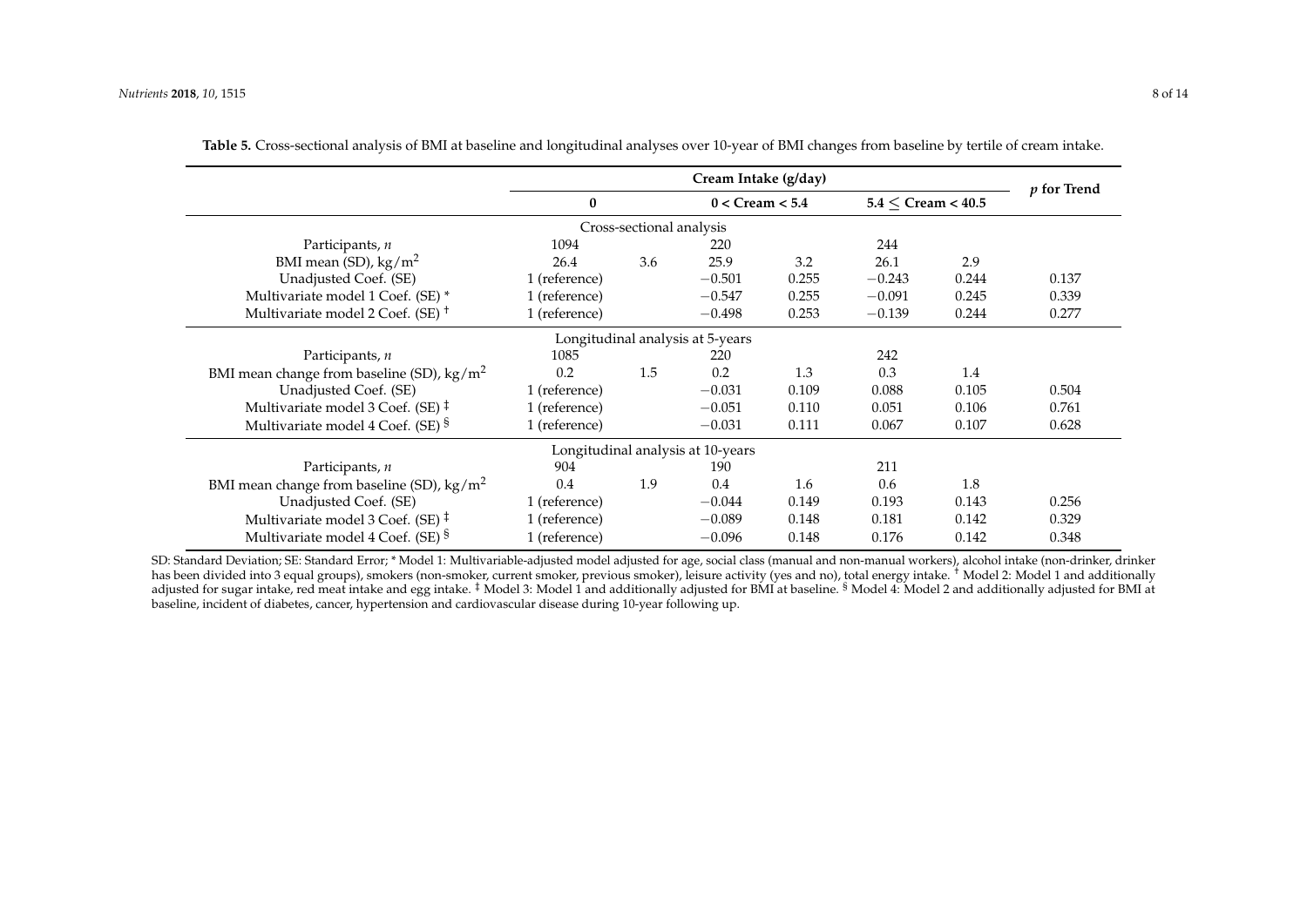|                                                     |               | $p$ for Trend            |                                   |       |          |                         |       |  |  |
|-----------------------------------------------------|---------------|--------------------------|-----------------------------------|-------|----------|-------------------------|-------|--|--|
|                                                     | $\bf{0}$      |                          | $0 < C$ ream $< 5.4$              |       |          | $5.4 < C$ ream $< 40.5$ |       |  |  |
|                                                     |               | Cross-sectional analysis |                                   |       |          |                         |       |  |  |
| Participants, n                                     | 1094          |                          | 220                               |       | 244      |                         |       |  |  |
| BMI mean (SD), $\text{kg/m}^2$                      | 26.4          | 3.6                      | 25.9                              | 3.2   | 26.1     | 2.9                     |       |  |  |
| Unadjusted Coef. (SE)                               | 1 (reference) |                          | $-0.501$                          | 0.255 | $-0.243$ | 0.244                   | 0.137 |  |  |
| Multivariate model 1 Coef. (SE) *                   | 1 (reference) |                          | $-0.547$                          | 0.255 | $-0.091$ | 0.245                   | 0.339 |  |  |
| Multivariate model 2 Coef. (SE) <sup>+</sup>        | 1 (reference) |                          | $-0.498$                          | 0.253 | $-0.139$ | 0.244                   | 0.277 |  |  |
| Longitudinal analysis at 5-years                    |               |                          |                                   |       |          |                         |       |  |  |
| Participants, n                                     | 1085          |                          | 220                               |       | 242      |                         |       |  |  |
| BMI mean change from baseline (SD), $\text{kg/m}^2$ | 0.2           | 1.5                      | 0.2                               | 1.3   | 0.3      | 1.4                     |       |  |  |
| Unadjusted Coef. (SE)                               | 1 (reference) |                          | $-0.031$                          | 0.109 | 0.088    | 0.105                   | 0.504 |  |  |
| Multivariate model 3 Coef. (SE) $\ddagger$          | 1 (reference) |                          | $-0.051$                          | 0.110 | 0.051    | 0.106                   | 0.761 |  |  |
| Multivariate model 4 Coef. (SE) §                   | 1 (reference) |                          | $-0.031$                          | 0.111 | 0.067    | 0.107                   | 0.628 |  |  |
|                                                     |               |                          | Longitudinal analysis at 10-years |       |          |                         |       |  |  |
| Participants, n                                     | 904           |                          | 190                               |       | 211      |                         |       |  |  |
| BMI mean change from baseline (SD), $\text{kg/m}^2$ | 0.4           | 1.9                      | 0.4                               | 1.6   | 0.6      | 1.8                     |       |  |  |
| Unadjusted Coef. (SE)                               | 1 (reference) |                          | $-0.044$                          | 0.149 | 0.193    | 0.143                   | 0.256 |  |  |
| Multivariate model 3 Coef. (SE) $\ddagger$          | 1 (reference) |                          | $-0.089$                          | 0.148 | 0.181    | 0.142                   | 0.329 |  |  |
| Multivariate model 4 Coef. (SE) §                   | 1 (reference) |                          | $-0.096$                          | 0.148 | 0.176    | 0.142                   | 0.348 |  |  |

| Table 5. Cross-sectional analysis of BMI at baseline and longitudinal analyses over 10-year of BMI changes from baseline by tertile of cream intake. |  |  |  |
|------------------------------------------------------------------------------------------------------------------------------------------------------|--|--|--|
|------------------------------------------------------------------------------------------------------------------------------------------------------|--|--|--|

<span id="page-7-0"></span>SD: Standard Deviation; SE: Standard Error; \* Model 1: Multivariable-adjusted model adjusted for age, social class (manual and non-manual workers), alcohol intake (non-drinker, drinker has been divided into 3 equal groups), smokers (non-smoker, current smoker, previous smoker), leisure activity (yes and no), total energy intake. <sup>†</sup> Model 2: Model 1 and additionally adjusted for sugar intake, red meat intake and egg intake. <sup>‡</sup> Model 3: Model 1 and additionally adjusted for BMI at baseline. <sup>§</sup> Model 4: Model 2 and additionally adjusted for BMI at baseline, incident of diabetes, cancer, hypertension and cardiovascular disease during 10-year following up.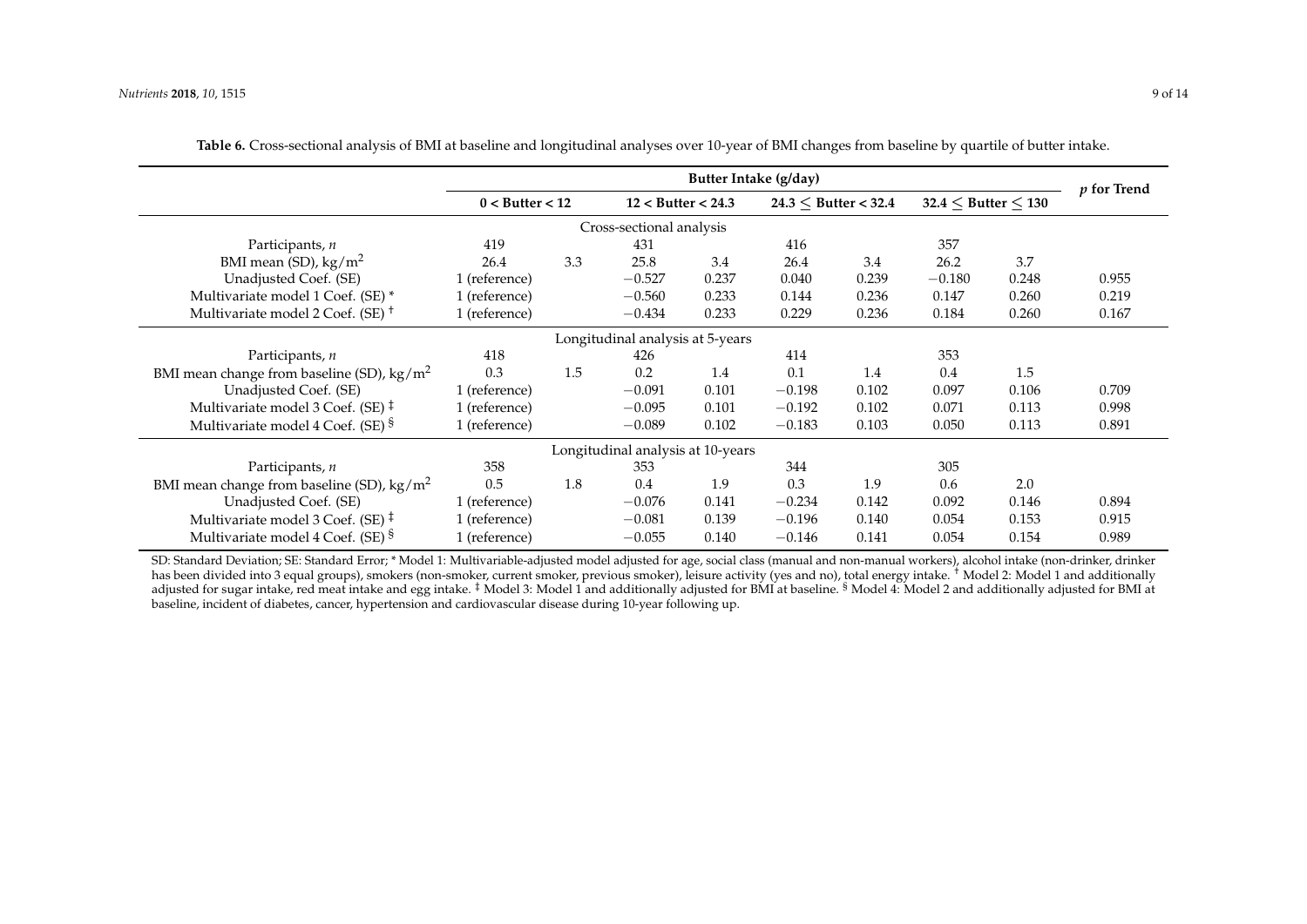|                                                           | Butter Intake (g/day) |     |                                   |       |                          |       |                         | $p$ for Trend |       |
|-----------------------------------------------------------|-----------------------|-----|-----------------------------------|-------|--------------------------|-------|-------------------------|---------------|-------|
|                                                           | $0 <$ Butter $< 12$   |     | $12 <$ Butter $< 24.3$            |       | $24.3 <$ Butter $< 32.4$ |       | $32.4 <$ Butter $< 130$ |               |       |
|                                                           |                       |     | Cross-sectional analysis          |       |                          |       |                         |               |       |
| Participants, n                                           | 419                   |     | 431                               |       | 416                      |       | 357                     |               |       |
| BMI mean (SD), $\text{kg/m}^2$                            | 26.4                  | 3.3 | 25.8                              | 3.4   | 26.4                     | 3.4   | 26.2                    | 3.7           |       |
| Unadjusted Coef. (SE)                                     | 1 (reference)         |     | $-0.527$                          | 0.237 | 0.040                    | 0.239 | $-0.180$                | 0.248         | 0.955 |
| Multivariate model 1 Coef. (SE) *                         | 1 (reference)         |     | $-0.560$                          | 0.233 | 0.144                    | 0.236 | 0.147                   | 0.260         | 0.219 |
| Multivariate model 2 Coef. (SE) <sup><math>+</math></sup> | 1 (reference)         |     | $-0.434$                          | 0.233 | 0.229                    | 0.236 | 0.184                   | 0.260         | 0.167 |
| Longitudinal analysis at 5-years                          |                       |     |                                   |       |                          |       |                         |               |       |
| Participants, n                                           | 418                   |     | 426                               |       | 414                      |       | 353                     |               |       |
| BMI mean change from baseline (SD), $\text{kg/m}^2$       | 0.3                   | 1.5 | 0.2                               | 1.4   | 0.1                      | 1.4   | 0.4                     | 1.5           |       |
| Unadjusted Coef. (SE)                                     | 1 (reference)         |     | $-0.091$                          | 0.101 | $-0.198$                 | 0.102 | 0.097                   | 0.106         | 0.709 |
| Multivariate model 3 Coef. (SE) $\ddagger$                | 1 (reference)         |     | $-0.095$                          | 0.101 | $-0.192$                 | 0.102 | 0.071                   | 0.113         | 0.998 |
| Multivariate model 4 Coef. (SE) §                         | 1 (reference)         |     | $-0.089$                          | 0.102 | $-0.183$                 | 0.103 | 0.050                   | 0.113         | 0.891 |
|                                                           |                       |     | Longitudinal analysis at 10-years |       |                          |       |                         |               |       |
| Participants, n                                           | 358                   |     | 353                               |       | 344                      |       | 305                     |               |       |
| BMI mean change from baseline (SD), $\text{kg/m}^2$       | 0.5                   | 1.8 | 0.4                               | 1.9   | 0.3                      | 1.9   | 0.6                     | 2.0           |       |
| Unadjusted Coef. (SE)                                     | 1 (reference)         |     | $-0.076$                          | 0.141 | $-0.234$                 | 0.142 | 0.092                   | 0.146         | 0.894 |
| Multivariate model 3 Coef. (SE) $\ddagger$                | 1 (reference)         |     | $-0.081$                          | 0.139 | $-0.196$                 | 0.140 | 0.054                   | 0.153         | 0.915 |
| Multivariate model 4 Coef. (SE) <sup>§</sup>              | 1 (reference)         |     | $-0.055$                          | 0.140 | $-0.146$                 | 0.141 | 0.054                   | 0.154         | 0.989 |

| Table 6. Cross-sectional analysis of BMI at baseline and longitudinal analyses over 10-year of BMI changes from baseline by quartile of butter intake. |  |  |  |
|--------------------------------------------------------------------------------------------------------------------------------------------------------|--|--|--|
|--------------------------------------------------------------------------------------------------------------------------------------------------------|--|--|--|

<span id="page-8-0"></span>SD: Standard Deviation; SE: Standard Error; \* Model 1: Multivariable-adjusted model adjusted for age, social class (manual and non-manual workers), alcohol intake (non-drinker, drinker has been divided into 3 equal groups), smokers (non-smoker, current smoker, previous smoker), leisure activity (yes and no), total energy intake. <sup>4</sup> Model 2: Model 1 and additionally adjusted for sugar intake, red meat intake and egg intake. <sup>‡</sup> Model 3: Model 1 and additionally adjusted for BMI at baseline. <sup>§</sup> Model 4: Model 2 and additionally adjusted for BMI at baseline, incident of diabetes, cancer, hypertension and cardiovascular disease during 10-year following up.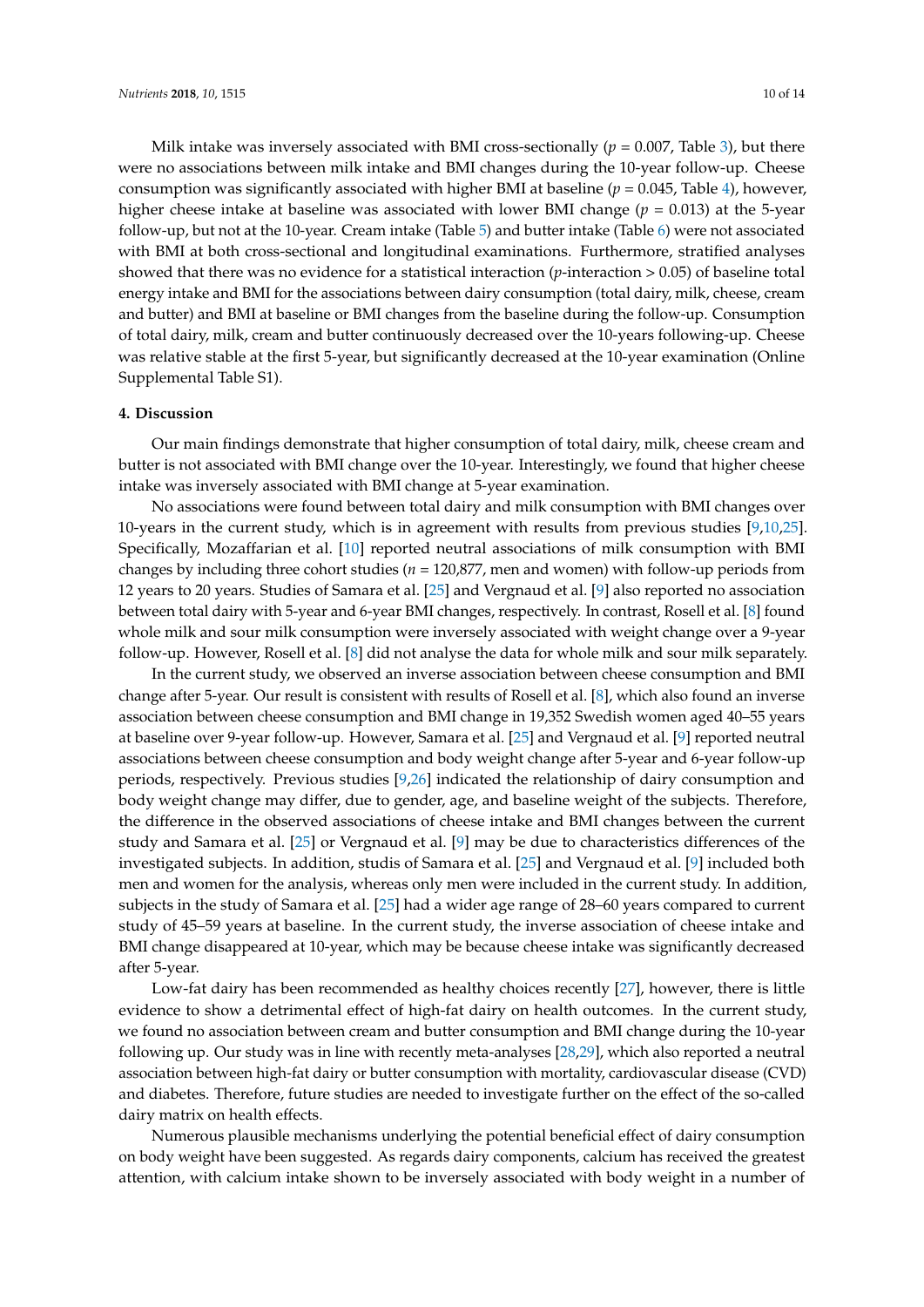Milk intake was inversely associated with BMI cross-sectionally (*p* = 0.007, Table [3\)](#page-5-0), but there were no associations between milk intake and BMI changes during the 10-year follow-up. Cheese consumption was significantly associated with higher BMI at baseline (*p* = 0.045, Table [4\)](#page-6-0), however, higher cheese intake at baseline was associated with lower BMI change (*p* = 0.013) at the 5-year follow-up, but not at the 10-year. Cream intake (Table [5\)](#page-7-0) and butter intake (Table [6\)](#page-8-0) were not associated with BMI at both cross-sectional and longitudinal examinations. Furthermore, stratified analyses showed that there was no evidence for a statistical interaction (*p*-interaction > 0.05) of baseline total energy intake and BMI for the associations between dairy consumption (total dairy, milk, cheese, cream and butter) and BMI at baseline or BMI changes from the baseline during the follow-up. Consumption of total dairy, milk, cream and butter continuously decreased over the 10-years following-up. Cheese was relative stable at the first 5-year, but significantly decreased at the 10-year examination (Online Supplemental Table S1).

#### **4. Discussion**

Our main findings demonstrate that higher consumption of total dairy, milk, cheese cream and butter is not associated with BMI change over the 10-year. Interestingly, we found that higher cheese intake was inversely associated with BMI change at 5-year examination.

No associations were found between total dairy and milk consumption with BMI changes over 10-years in the current study, which is in agreement with results from previous studies [\[9,](#page-11-8)[10,](#page-11-7)[25\]](#page-12-1). Specifically, Mozaffarian et al. [\[10\]](#page-11-7) reported neutral associations of milk consumption with BMI changes by including three cohort studies (*n* = 120,877, men and women) with follow-up periods from 12 years to 20 years. Studies of Samara et al. [\[25\]](#page-12-1) and Vergnaud et al. [\[9\]](#page-11-8) also reported no association between total dairy with 5-year and 6-year BMI changes, respectively. In contrast, Rosell et al. [\[8\]](#page-11-6) found whole milk and sour milk consumption were inversely associated with weight change over a 9-year follow-up. However, Rosell et al. [\[8\]](#page-11-6) did not analyse the data for whole milk and sour milk separately.

In the current study, we observed an inverse association between cheese consumption and BMI change after 5-year. Our result is consistent with results of Rosell et al. [\[8\]](#page-11-6), which also found an inverse association between cheese consumption and BMI change in 19,352 Swedish women aged 40–55 years at baseline over 9-year follow-up. However, Samara et al. [\[25\]](#page-12-1) and Vergnaud et al. [\[9\]](#page-11-8) reported neutral associations between cheese consumption and body weight change after 5-year and 6-year follow-up periods, respectively. Previous studies [\[9](#page-11-8)[,26\]](#page-12-2) indicated the relationship of dairy consumption and body weight change may differ, due to gender, age, and baseline weight of the subjects. Therefore, the difference in the observed associations of cheese intake and BMI changes between the current study and Samara et al. [\[25\]](#page-12-1) or Vergnaud et al. [\[9\]](#page-11-8) may be due to characteristics differences of the investigated subjects. In addition, studis of Samara et al. [\[25\]](#page-12-1) and Vergnaud et al. [\[9\]](#page-11-8) included both men and women for the analysis, whereas only men were included in the current study. In addition, subjects in the study of Samara et al. [\[25\]](#page-12-1) had a wider age range of 28–60 years compared to current study of 45–59 years at baseline. In the current study, the inverse association of cheese intake and BMI change disappeared at 10-year, which may be because cheese intake was significantly decreased after 5-year.

Low-fat dairy has been recommended as healthy choices recently [\[27\]](#page-12-3), however, there is little evidence to show a detrimental effect of high-fat dairy on health outcomes. In the current study, we found no association between cream and butter consumption and BMI change during the 10-year following up. Our study was in line with recently meta-analyses [\[28](#page-12-4)[,29\]](#page-12-5), which also reported a neutral association between high-fat dairy or butter consumption with mortality, cardiovascular disease (CVD) and diabetes. Therefore, future studies are needed to investigate further on the effect of the so-called dairy matrix on health effects.

Numerous plausible mechanisms underlying the potential beneficial effect of dairy consumption on body weight have been suggested. As regards dairy components, calcium has received the greatest attention, with calcium intake shown to be inversely associated with body weight in a number of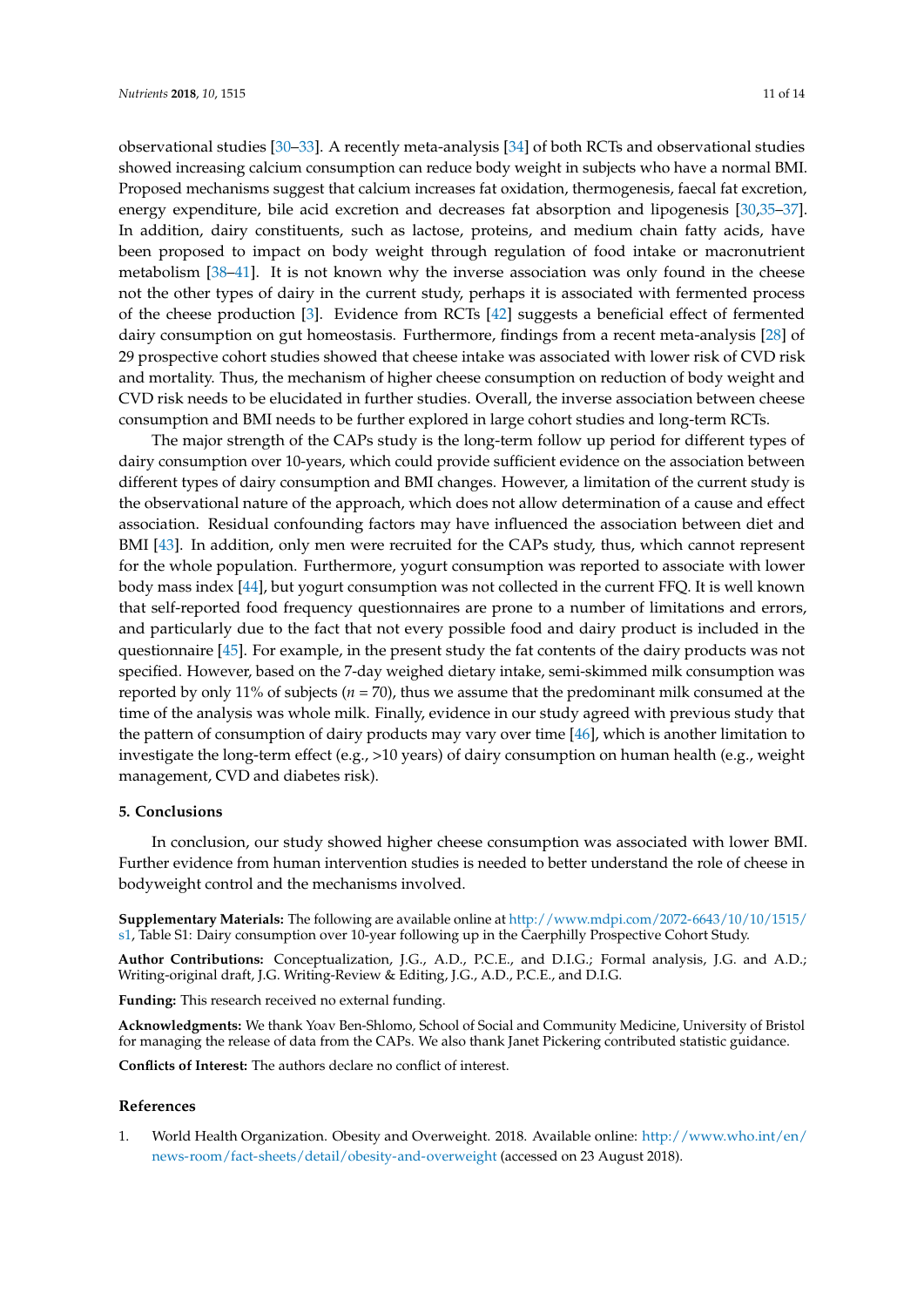observational studies [\[30–](#page-12-6)[33\]](#page-12-7). A recently meta-analysis [\[34\]](#page-12-8) of both RCTs and observational studies showed increasing calcium consumption can reduce body weight in subjects who have a normal BMI. Proposed mechanisms suggest that calcium increases fat oxidation, thermogenesis, faecal fat excretion, energy expenditure, bile acid excretion and decreases fat absorption and lipogenesis [\[30,](#page-12-6)[35–](#page-12-9)[37\]](#page-12-10). In addition, dairy constituents, such as lactose, proteins, and medium chain fatty acids, have been proposed to impact on body weight through regulation of food intake or macronutrient metabolism [\[38](#page-12-11)[–41\]](#page-12-12). It is not known why the inverse association was only found in the cheese not the other types of dairy in the current study, perhaps it is associated with fermented process of the cheese production [\[3\]](#page-11-1). Evidence from RCTs [\[42\]](#page-12-13) suggests a beneficial effect of fermented

dairy consumption on gut homeostasis. Furthermore, findings from a recent meta-analysis [\[28\]](#page-12-4) of 29 prospective cohort studies showed that cheese intake was associated with lower risk of CVD risk and mortality. Thus, the mechanism of higher cheese consumption on reduction of body weight and CVD risk needs to be elucidated in further studies. Overall, the inverse association between cheese consumption and BMI needs to be further explored in large cohort studies and long-term RCTs.

The major strength of the CAPs study is the long-term follow up period for different types of dairy consumption over 10-years, which could provide sufficient evidence on the association between different types of dairy consumption and BMI changes. However, a limitation of the current study is the observational nature of the approach, which does not allow determination of a cause and effect association. Residual confounding factors may have influenced the association between diet and BMI [\[43\]](#page-13-0). In addition, only men were recruited for the CAPs study, thus, which cannot represent for the whole population. Furthermore, yogurt consumption was reported to associate with lower body mass index [\[44\]](#page-13-1), but yogurt consumption was not collected in the current FFQ. It is well known that self-reported food frequency questionnaires are prone to a number of limitations and errors, and particularly due to the fact that not every possible food and dairy product is included in the questionnaire [\[45\]](#page-13-2). For example, in the present study the fat contents of the dairy products was not specified. However, based on the 7-day weighed dietary intake, semi-skimmed milk consumption was reported by only 11% of subjects (*n* = 70), thus we assume that the predominant milk consumed at the time of the analysis was whole milk. Finally, evidence in our study agreed with previous study that the pattern of consumption of dairy products may vary over time [\[46\]](#page-13-3), which is another limitation to investigate the long-term effect (e.g., >10 years) of dairy consumption on human health (e.g., weight management, CVD and diabetes risk).

## **5. Conclusions**

In conclusion, our study showed higher cheese consumption was associated with lower BMI. Further evidence from human intervention studies is needed to better understand the role of cheese in bodyweight control and the mechanisms involved.

**Supplementary Materials:** The following are available online at [http://www.mdpi.com/2072-6643/10/10/1515/](http://www.mdpi.com/2072-6643/10/10/1515/s1) [s1,](http://www.mdpi.com/2072-6643/10/10/1515/s1) Table S1: Dairy consumption over 10-year following up in the Caerphilly Prospective Cohort Study.

**Author Contributions:** Conceptualization, J.G., A.D., P.C.E., and D.I.G.; Formal analysis, J.G. and A.D.; Writing-original draft, J.G. Writing-Review & Editing, J.G., A.D., P.C.E., and D.I.G.

**Funding:** This research received no external funding.

**Acknowledgments:** We thank Yoav Ben-Shlomo, School of Social and Community Medicine, University of Bristol for managing the release of data from the CAPs. We also thank Janet Pickering contributed statistic guidance.

**Conflicts of Interest:** The authors declare no conflict of interest.

#### **References**

<span id="page-10-0"></span>1. World Health Organization. Obesity and Overweight. 2018. Available online: [http://www.who.int/en/](http://www.who.int/en/news-room/fact-sheets/detail/obesity-and-overweight) [news-room/fact-sheets/detail/obesity-and-overweight](http://www.who.int/en/news-room/fact-sheets/detail/obesity-and-overweight) (accessed on 23 August 2018).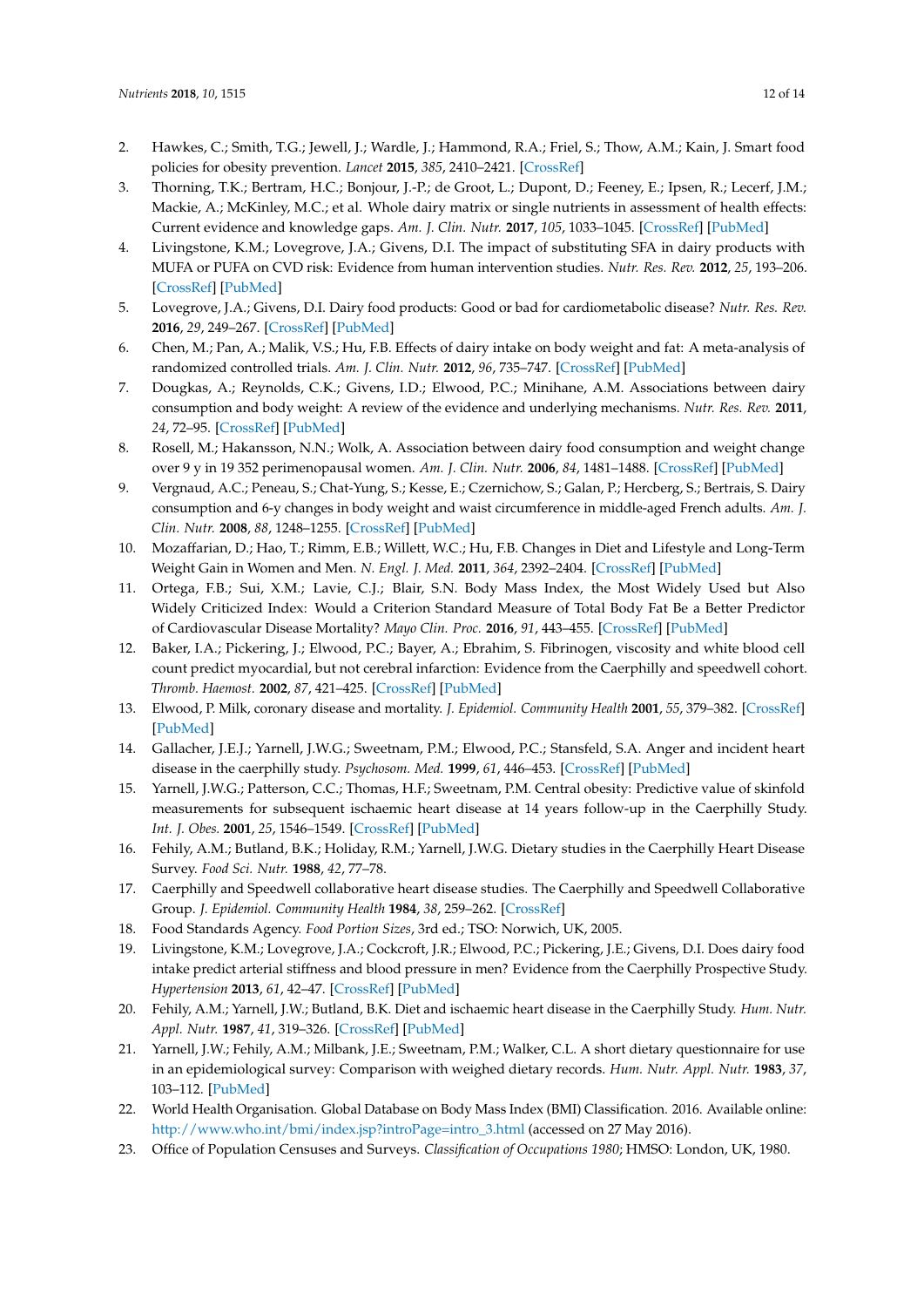- <span id="page-11-0"></span>2. Hawkes, C.; Smith, T.G.; Jewell, J.; Wardle, J.; Hammond, R.A.; Friel, S.; Thow, A.M.; Kain, J. Smart food policies for obesity prevention. *Lancet* **2015**, *385*, 2410–2421. [\[CrossRef\]](http://dx.doi.org/10.1016/S0140-6736(14)61745-1)
- <span id="page-11-1"></span>3. Thorning, T.K.; Bertram, H.C.; Bonjour, J.-P.; de Groot, L.; Dupont, D.; Feeney, E.; Ipsen, R.; Lecerf, J.M.; Mackie, A.; McKinley, M.C.; et al. Whole dairy matrix or single nutrients in assessment of health effects: Current evidence and knowledge gaps. *Am. J. Clin. Nutr.* **2017**, *105*, 1033–1045. [\[CrossRef\]](http://dx.doi.org/10.3945/ajcn.116.151548) [\[PubMed\]](http://www.ncbi.nlm.nih.gov/pubmed/28404576)
- <span id="page-11-2"></span>4. Livingstone, K.M.; Lovegrove, J.A.; Givens, D.I. The impact of substituting SFA in dairy products with MUFA or PUFA on CVD risk: Evidence from human intervention studies. *Nutr. Res. Rev.* **2012**, *25*, 193–206. [\[CrossRef\]](http://dx.doi.org/10.1017/S095442241200011X) [\[PubMed\]](http://www.ncbi.nlm.nih.gov/pubmed/22863409)
- <span id="page-11-3"></span>5. Lovegrove, J.A.; Givens, D.I. Dairy food products: Good or bad for cardiometabolic disease? *Nutr. Res. Rev.* **2016**, *29*, 249–267. [\[CrossRef\]](http://dx.doi.org/10.1017/S0954422416000160) [\[PubMed\]](http://www.ncbi.nlm.nih.gov/pubmed/27666526)
- <span id="page-11-4"></span>6. Chen, M.; Pan, A.; Malik, V.S.; Hu, F.B. Effects of dairy intake on body weight and fat: A meta-analysis of randomized controlled trials. *Am. J. Clin. Nutr.* **2012**, *96*, 735–747. [\[CrossRef\]](http://dx.doi.org/10.3945/ajcn.112.037119) [\[PubMed\]](http://www.ncbi.nlm.nih.gov/pubmed/22932282)
- <span id="page-11-5"></span>7. Dougkas, A.; Reynolds, C.K.; Givens, I.D.; Elwood, P.C.; Minihane, A.M. Associations between dairy consumption and body weight: A review of the evidence and underlying mechanisms. *Nutr. Res. Rev.* **2011**, *24*, 72–95. [\[CrossRef\]](http://dx.doi.org/10.1017/S095442241000034X) [\[PubMed\]](http://www.ncbi.nlm.nih.gov/pubmed/21320381)
- <span id="page-11-6"></span>8. Rosell, M.; Hakansson, N.N.; Wolk, A. Association between dairy food consumption and weight change over 9 y in 19 352 perimenopausal women. *Am. J. Clin. Nutr.* **2006**, *84*, 1481–1488. [\[CrossRef\]](http://dx.doi.org/10.1093/ajcn/84.6.1481) [\[PubMed\]](http://www.ncbi.nlm.nih.gov/pubmed/17158433)
- <span id="page-11-8"></span>9. Vergnaud, A.C.; Peneau, S.; Chat-Yung, S.; Kesse, E.; Czernichow, S.; Galan, P.; Hercberg, S.; Bertrais, S. Dairy consumption and 6-y changes in body weight and waist circumference in middle-aged French adults. *Am. J. Clin. Nutr.* **2008**, *88*, 1248–1255. [\[CrossRef\]](http://dx.doi.org/10.3945/ajcn.2007.25151) [\[PubMed\]](http://www.ncbi.nlm.nih.gov/pubmed/18996859)
- <span id="page-11-7"></span>10. Mozaffarian, D.; Hao, T.; Rimm, E.B.; Willett, W.C.; Hu, F.B. Changes in Diet and Lifestyle and Long-Term Weight Gain in Women and Men. *N. Engl. J. Med.* **2011**, *364*, 2392–2404. [\[CrossRef\]](http://dx.doi.org/10.1056/NEJMoa1014296) [\[PubMed\]](http://www.ncbi.nlm.nih.gov/pubmed/21696306)
- <span id="page-11-9"></span>11. Ortega, F.B.; Sui, X.M.; Lavie, C.J.; Blair, S.N. Body Mass Index, the Most Widely Used but Also Widely Criticized Index: Would a Criterion Standard Measure of Total Body Fat Be a Better Predictor of Cardiovascular Disease Mortality? *Mayo Clin. Proc.* **2016**, *91*, 443–455. [\[CrossRef\]](http://dx.doi.org/10.1016/j.mayocp.2016.01.008) [\[PubMed\]](http://www.ncbi.nlm.nih.gov/pubmed/26948431)
- <span id="page-11-10"></span>12. Baker, I.A.; Pickering, J.; Elwood, P.C.; Bayer, A.; Ebrahim, S. Fibrinogen, viscosity and white blood cell count predict myocardial, but not cerebral infarction: Evidence from the Caerphilly and speedwell cohort. *Thromb. Haemost.* **2002**, *87*, 421–425. [\[CrossRef\]](http://dx.doi.org/10.1055/s-0037-1613020) [\[PubMed\]](http://www.ncbi.nlm.nih.gov/pubmed/11916073)
- 13. Elwood, P. Milk, coronary disease and mortality. *J. Epidemiol. Community Health* **2001**, *55*, 379–382. [\[CrossRef\]](http://dx.doi.org/10.1136/jech.55.6.375) [\[PubMed\]](http://www.ncbi.nlm.nih.gov/pubmed/11350990)
- 14. Gallacher, J.E.J.; Yarnell, J.W.G.; Sweetnam, P.M.; Elwood, P.C.; Stansfeld, S.A. Anger and incident heart disease in the caerphilly study. *Psychosom. Med.* **1999**, *61*, 446–453. [\[CrossRef\]](http://dx.doi.org/10.1097/00006842-199907000-00007) [\[PubMed\]](http://www.ncbi.nlm.nih.gov/pubmed/10443752)
- <span id="page-11-11"></span>15. Yarnell, J.W.G.; Patterson, C.C.; Thomas, H.F.; Sweetnam, P.M. Central obesity: Predictive value of skinfold measurements for subsequent ischaemic heart disease at 14 years follow-up in the Caerphilly Study. *Int. J. Obes.* **2001**, *25*, 1546–1549. [\[CrossRef\]](http://dx.doi.org/10.1038/sj.ijo.0801676) [\[PubMed\]](http://www.ncbi.nlm.nih.gov/pubmed/11673779)
- <span id="page-11-12"></span>16. Fehily, A.M.; Butland, B.K.; Holiday, R.M.; Yarnell, J.W.G. Dietary studies in the Caerphilly Heart Disease Survey. *Food Sci. Nutr.* **1988**, *42*, 77–78.
- <span id="page-11-13"></span>17. Caerphilly and Speedwell collaborative heart disease studies. The Caerphilly and Speedwell Collaborative Group. *J. Epidemiol. Community Health* **1984**, *38*, 259–262. [\[CrossRef\]](http://dx.doi.org/10.1136/jech.38.3.259)
- <span id="page-11-14"></span>18. Food Standards Agency. *Food Portion Sizes*, 3rd ed.; TSO: Norwich, UK, 2005.
- <span id="page-11-15"></span>19. Livingstone, K.M.; Lovegrove, J.A.; Cockcroft, J.R.; Elwood, P.C.; Pickering, J.E.; Givens, D.I. Does dairy food intake predict arterial stiffness and blood pressure in men? Evidence from the Caerphilly Prospective Study. *Hypertension* **2013**, *61*, 42–47. [\[CrossRef\]](http://dx.doi.org/10.1161/HYPERTENSIONAHA.111.00026) [\[PubMed\]](http://www.ncbi.nlm.nih.gov/pubmed/23150503)
- <span id="page-11-16"></span>20. Fehily, A.M.; Yarnell, J.W.; Butland, B.K. Diet and ischaemic heart disease in the Caerphilly Study. *Hum. Nutr. Appl. Nutr.* **1987**, *41*, 319–326. [\[CrossRef\]](http://dx.doi.org/10.1079/BJN19930035) [\[PubMed\]](http://www.ncbi.nlm.nih.gov/pubmed/3692898)
- <span id="page-11-17"></span>21. Yarnell, J.W.; Fehily, A.M.; Milbank, J.E.; Sweetnam, P.M.; Walker, C.L. A short dietary questionnaire for use in an epidemiological survey: Comparison with weighed dietary records. *Hum. Nutr. Appl. Nutr.* **1983**, *37*, 103–112. [\[PubMed\]](http://www.ncbi.nlm.nih.gov/pubmed/6305883)
- <span id="page-11-18"></span>22. World Health Organisation. Global Database on Body Mass Index (BMI) Classification. 2016. Available online: [http://www.who.int/bmi/index.jsp?introPage=intro\\_3.html](http://www.who.int/bmi/index.jsp?introPage=intro_3.html) (accessed on 27 May 2016).
- <span id="page-11-19"></span>23. Office of Population Censuses and Surveys. *Classification of Occupations 1980*; HMSO: London, UK, 1980.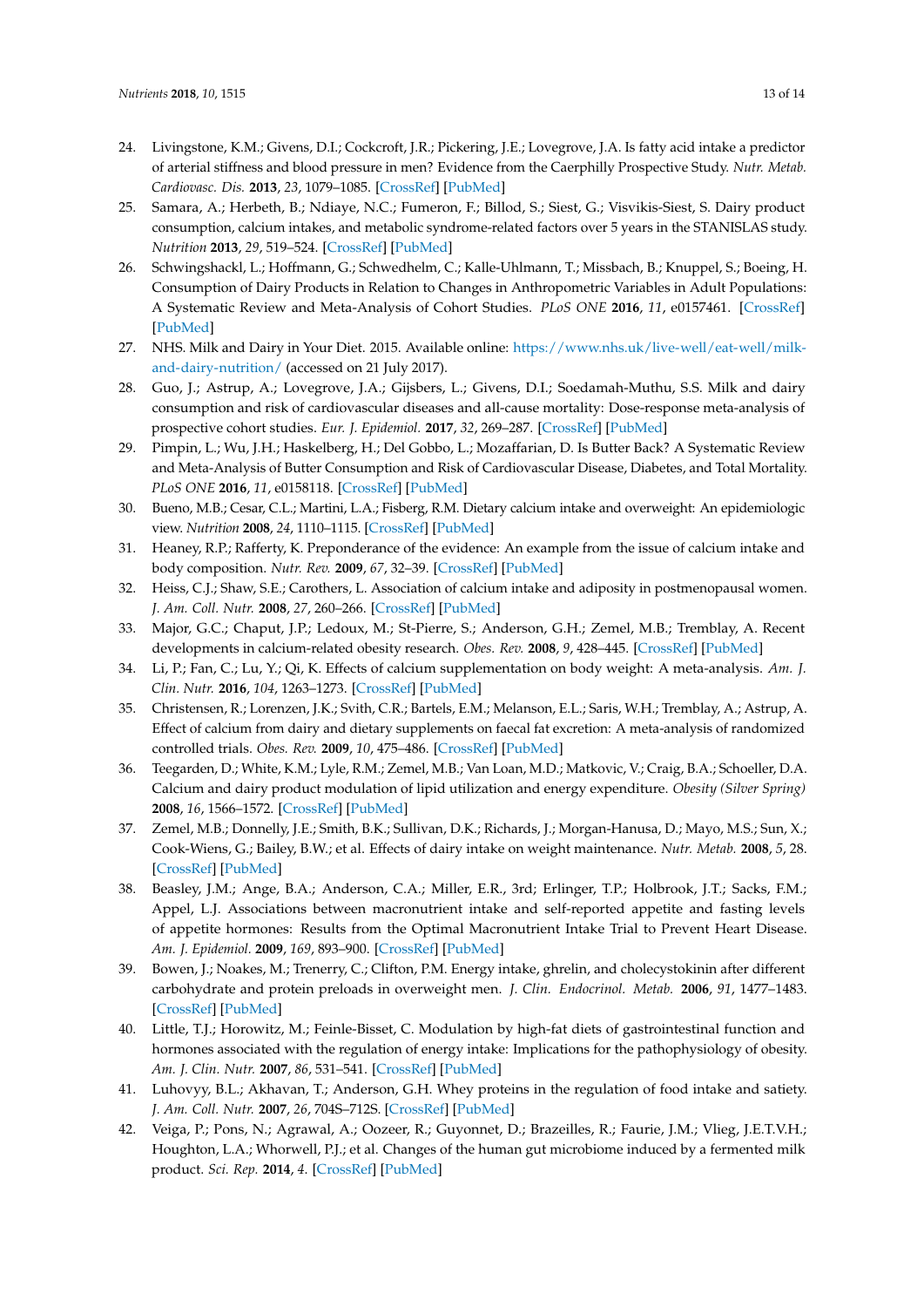- <span id="page-12-0"></span>24. Livingstone, K.M.; Givens, D.I.; Cockcroft, J.R.; Pickering, J.E.; Lovegrove, J.A. Is fatty acid intake a predictor of arterial stiffness and blood pressure in men? Evidence from the Caerphilly Prospective Study. *Nutr. Metab. Cardiovasc. Dis.* **2013**, *23*, 1079–1085. [\[CrossRef\]](http://dx.doi.org/10.1016/j.numecd.2012.12.002) [\[PubMed\]](http://www.ncbi.nlm.nih.gov/pubmed/23415455)
- <span id="page-12-1"></span>25. Samara, A.; Herbeth, B.; Ndiaye, N.C.; Fumeron, F.; Billod, S.; Siest, G.; Visvikis-Siest, S. Dairy product consumption, calcium intakes, and metabolic syndrome-related factors over 5 years in the STANISLAS study. *Nutrition* **2013**, *29*, 519–524. [\[CrossRef\]](http://dx.doi.org/10.1016/j.nut.2012.08.013) [\[PubMed\]](http://www.ncbi.nlm.nih.gov/pubmed/23274089)
- <span id="page-12-2"></span>26. Schwingshackl, L.; Hoffmann, G.; Schwedhelm, C.; Kalle-Uhlmann, T.; Missbach, B.; Knuppel, S.; Boeing, H. Consumption of Dairy Products in Relation to Changes in Anthropometric Variables in Adult Populations: A Systematic Review and Meta-Analysis of Cohort Studies. *PLoS ONE* **2016**, *11*, e0157461. [\[CrossRef\]](http://dx.doi.org/10.1371/journal.pone.0157461) [\[PubMed\]](http://www.ncbi.nlm.nih.gov/pubmed/27310919)
- <span id="page-12-3"></span>27. NHS. Milk and Dairy in Your Diet. 2015. Available online: [https://www.nhs.uk/live-well/eat-well/milk](https://www.nhs.uk/live-well/eat-well/milk-and-dairy-nutrition/)[and-dairy-nutrition/](https://www.nhs.uk/live-well/eat-well/milk-and-dairy-nutrition/) (accessed on 21 July 2017).
- <span id="page-12-4"></span>28. Guo, J.; Astrup, A.; Lovegrove, J.A.; Gijsbers, L.; Givens, D.I.; Soedamah-Muthu, S.S. Milk and dairy consumption and risk of cardiovascular diseases and all-cause mortality: Dose-response meta-analysis of prospective cohort studies. *Eur. J. Epidemiol.* **2017**, *32*, 269–287. [\[CrossRef\]](http://dx.doi.org/10.1007/s10654-017-0243-1) [\[PubMed\]](http://www.ncbi.nlm.nih.gov/pubmed/28374228)
- <span id="page-12-5"></span>29. Pimpin, L.; Wu, J.H.; Haskelberg, H.; Del Gobbo, L.; Mozaffarian, D. Is Butter Back? A Systematic Review and Meta-Analysis of Butter Consumption and Risk of Cardiovascular Disease, Diabetes, and Total Mortality. *PLoS ONE* **2016**, *11*, e0158118. [\[CrossRef\]](http://dx.doi.org/10.1371/journal.pone.0158118) [\[PubMed\]](http://www.ncbi.nlm.nih.gov/pubmed/27355649)
- <span id="page-12-6"></span>30. Bueno, M.B.; Cesar, C.L.; Martini, L.A.; Fisberg, R.M. Dietary calcium intake and overweight: An epidemiologic view. *Nutrition* **2008**, *24*, 1110–1115. [\[CrossRef\]](http://dx.doi.org/10.1016/j.nut.2008.05.020) [\[PubMed\]](http://www.ncbi.nlm.nih.gov/pubmed/18640008)
- 31. Heaney, R.P.; Rafferty, K. Preponderance of the evidence: An example from the issue of calcium intake and body composition. *Nutr. Rev.* **2009**, *67*, 32–39. [\[CrossRef\]](http://dx.doi.org/10.1111/j.1753-4887.2008.00132.x) [\[PubMed\]](http://www.ncbi.nlm.nih.gov/pubmed/19146504)
- 32. Heiss, C.J.; Shaw, S.E.; Carothers, L. Association of calcium intake and adiposity in postmenopausal women. *J. Am. Coll. Nutr.* **2008**, *27*, 260–266. [\[CrossRef\]](http://dx.doi.org/10.1080/07315724.2008.10719698) [\[PubMed\]](http://www.ncbi.nlm.nih.gov/pubmed/18689557)
- <span id="page-12-7"></span>33. Major, G.C.; Chaput, J.P.; Ledoux, M.; St-Pierre, S.; Anderson, G.H.; Zemel, M.B.; Tremblay, A. Recent developments in calcium-related obesity research. *Obes. Rev.* **2008**, *9*, 428–445. [\[CrossRef\]](http://dx.doi.org/10.1111/j.1467-789X.2007.00465.x) [\[PubMed\]](http://www.ncbi.nlm.nih.gov/pubmed/18282178)
- <span id="page-12-8"></span>34. Li, P.; Fan, C.; Lu, Y.; Qi, K. Effects of calcium supplementation on body weight: A meta-analysis. *Am. J. Clin. Nutr.* **2016**, *104*, 1263–1273. [\[CrossRef\]](http://dx.doi.org/10.3945/ajcn.116.136242) [\[PubMed\]](http://www.ncbi.nlm.nih.gov/pubmed/27733391)
- <span id="page-12-9"></span>35. Christensen, R.; Lorenzen, J.K.; Svith, C.R.; Bartels, E.M.; Melanson, E.L.; Saris, W.H.; Tremblay, A.; Astrup, A. Effect of calcium from dairy and dietary supplements on faecal fat excretion: A meta-analysis of randomized controlled trials. *Obes. Rev.* **2009**, *10*, 475–486. [\[CrossRef\]](http://dx.doi.org/10.1111/j.1467-789X.2009.00599.x) [\[PubMed\]](http://www.ncbi.nlm.nih.gov/pubmed/19493303)
- 36. Teegarden, D.; White, K.M.; Lyle, R.M.; Zemel, M.B.; Van Loan, M.D.; Matkovic, V.; Craig, B.A.; Schoeller, D.A. Calcium and dairy product modulation of lipid utilization and energy expenditure. *Obesity (Silver Spring)* **2008**, *16*, 1566–1572. [\[CrossRef\]](http://dx.doi.org/10.1038/oby.2008.232) [\[PubMed\]](http://www.ncbi.nlm.nih.gov/pubmed/18421269)
- <span id="page-12-10"></span>37. Zemel, M.B.; Donnelly, J.E.; Smith, B.K.; Sullivan, D.K.; Richards, J.; Morgan-Hanusa, D.; Mayo, M.S.; Sun, X.; Cook-Wiens, G.; Bailey, B.W.; et al. Effects of dairy intake on weight maintenance. *Nutr. Metab.* **2008**, *5*, 28. [\[CrossRef\]](http://dx.doi.org/10.1186/1743-7075-5-28) [\[PubMed\]](http://www.ncbi.nlm.nih.gov/pubmed/18950508)
- <span id="page-12-11"></span>38. Beasley, J.M.; Ange, B.A.; Anderson, C.A.; Miller, E.R., 3rd; Erlinger, T.P.; Holbrook, J.T.; Sacks, F.M.; Appel, L.J. Associations between macronutrient intake and self-reported appetite and fasting levels of appetite hormones: Results from the Optimal Macronutrient Intake Trial to Prevent Heart Disease. *Am. J. Epidemiol.* **2009**, *169*, 893–900. [\[CrossRef\]](http://dx.doi.org/10.1093/aje/kwn415) [\[PubMed\]](http://www.ncbi.nlm.nih.gov/pubmed/19224977)
- 39. Bowen, J.; Noakes, M.; Trenerry, C.; Clifton, P.M. Energy intake, ghrelin, and cholecystokinin after different carbohydrate and protein preloads in overweight men. *J. Clin. Endocrinol. Metab.* **2006**, *91*, 1477–1483. [\[CrossRef\]](http://dx.doi.org/10.1210/jc.2005-1856) [\[PubMed\]](http://www.ncbi.nlm.nih.gov/pubmed/16434457)
- 40. Little, T.J.; Horowitz, M.; Feinle-Bisset, C. Modulation by high-fat diets of gastrointestinal function and hormones associated with the regulation of energy intake: Implications for the pathophysiology of obesity. *Am. J. Clin. Nutr.* **2007**, *86*, 531–541. [\[CrossRef\]](http://dx.doi.org/10.1093/ajcn/86.3.531) [\[PubMed\]](http://www.ncbi.nlm.nih.gov/pubmed/17823414)
- <span id="page-12-12"></span>41. Luhovyy, B.L.; Akhavan, T.; Anderson, G.H. Whey proteins in the regulation of food intake and satiety. *J. Am. Coll. Nutr.* **2007**, *26*, 704S–712S. [\[CrossRef\]](http://dx.doi.org/10.1080/07315724.2007.10719651) [\[PubMed\]](http://www.ncbi.nlm.nih.gov/pubmed/18187437)
- <span id="page-12-13"></span>42. Veiga, P.; Pons, N.; Agrawal, A.; Oozeer, R.; Guyonnet, D.; Brazeilles, R.; Faurie, J.M.; Vlieg, J.E.T.V.H.; Houghton, L.A.; Whorwell, P.J.; et al. Changes of the human gut microbiome induced by a fermented milk product. *Sci. Rep.* **2014**, *4*. [\[CrossRef\]](http://dx.doi.org/10.1038/srep06328) [\[PubMed\]](http://www.ncbi.nlm.nih.gov/pubmed/25209713)